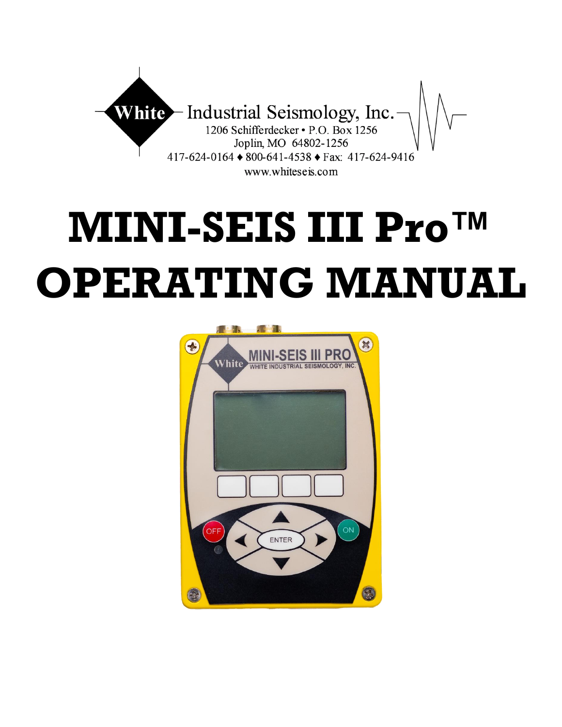

# **MINI-SEIS III Pro™ OPERATING MANUAL**

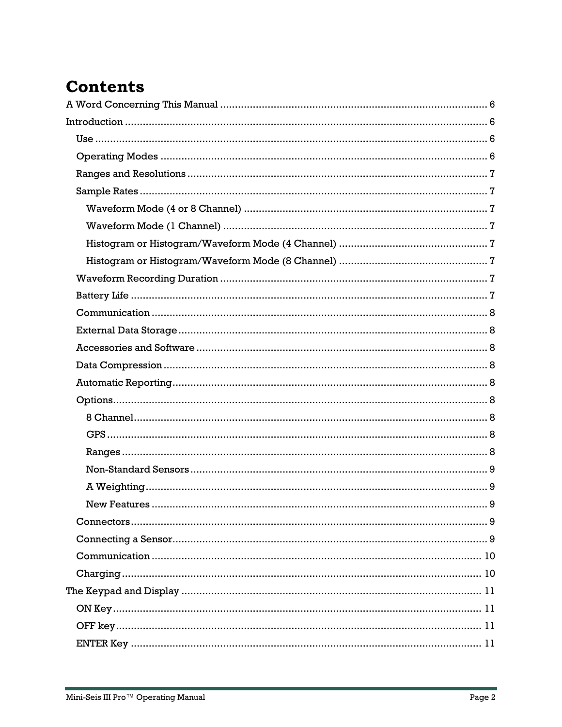# **Contents**

E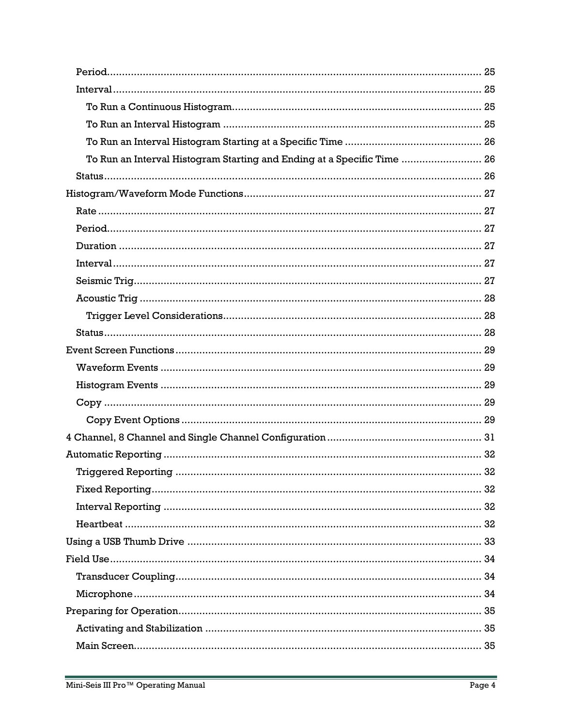| To Run an Interval Histogram Starting and Ending at a Specific Time  26 |  |
|-------------------------------------------------------------------------|--|
|                                                                         |  |
|                                                                         |  |
|                                                                         |  |
|                                                                         |  |
|                                                                         |  |
|                                                                         |  |
|                                                                         |  |
|                                                                         |  |
|                                                                         |  |
|                                                                         |  |
|                                                                         |  |
|                                                                         |  |
|                                                                         |  |
|                                                                         |  |
|                                                                         |  |
|                                                                         |  |
|                                                                         |  |
|                                                                         |  |
|                                                                         |  |
|                                                                         |  |
|                                                                         |  |
|                                                                         |  |
|                                                                         |  |
|                                                                         |  |
|                                                                         |  |
|                                                                         |  |
|                                                                         |  |
|                                                                         |  |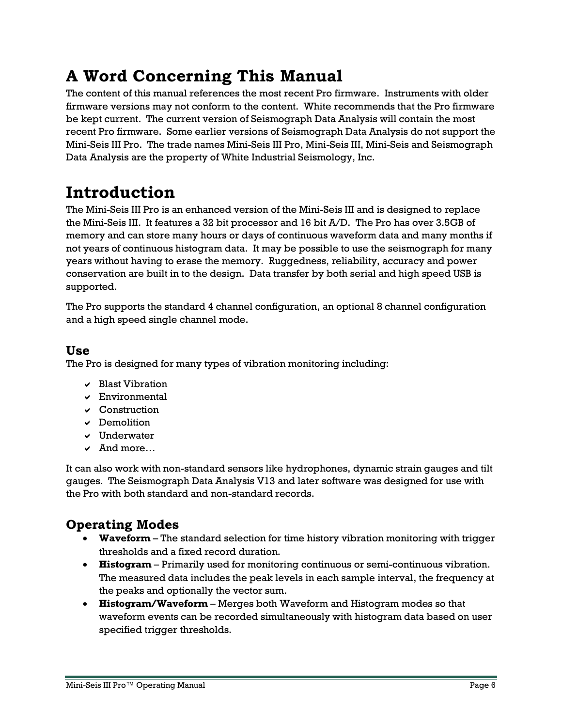# <span id="page-5-0"></span>**A Word Concerning This Manual**

The content of this manual references the most recent Pro firmware. Instruments with older firmware versions may not conform to the content. White recommends that the Pro firmware be kept current. The current version of Seismograph Data Analysis will contain the most recent Pro firmware. Some earlier versions of Seismograph Data Analysis do not support the Mini-Seis III Pro. The trade names Mini-Seis III Pro, Mini-Seis III, Mini-Seis and Seismograph Data Analysis are the property of White Industrial Seismology, Inc.

# <span id="page-5-1"></span>**Introduction**

The Mini-Seis III Pro is an enhanced version of the Mini-Seis III and is designed to replace the Mini-Seis III. It features a 32 bit processor and 16 bit A/D. The Pro has over 3.5GB of memory and can store many hours or days of continuous waveform data and many months if not years of continuous histogram data. It may be possible to use the seismograph for many years without having to erase the memory. Ruggedness, reliability, accuracy and power conservation are built in to the design. Data transfer by both serial and high speed USB is supported.

The Pro supports the standard 4 channel configuration, an optional 8 channel configuration and a high speed single channel mode.

# <span id="page-5-2"></span>**Use**

The Pro is designed for many types of vibration monitoring including:

- $\vee$  Blast Vibration
- Environmental
- $\vee$  Construction
- $\vee$  Demolition
- $\vee$  Underwater
- And more…

It can also work with non-standard sensors like hydrophones, dynamic strain gauges and tilt gauges. The Seismograph Data Analysis V13 and later software was designed for use with the Pro with both standard and non-standard records.

# <span id="page-5-3"></span>**Operating Modes**

- **Waveform**  The standard selection for time history vibration monitoring with trigger thresholds and a fixed record duration.
- **Histogram** Primarily used for monitoring continuous or semi-continuous vibration. The measured data includes the peak levels in each sample interval, the frequency at the peaks and optionally the vector sum.
- **Histogram/Waveform** Merges both Waveform and Histogram modes so that waveform events can be recorded simultaneously with histogram data based on user specified trigger thresholds.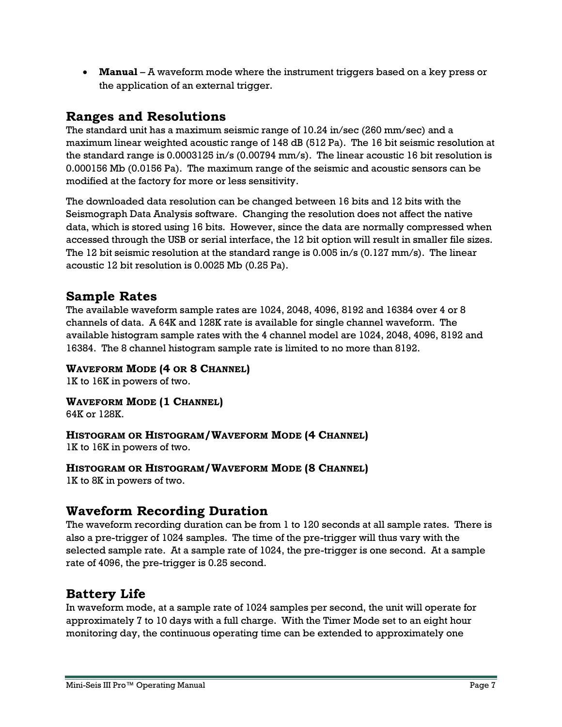**Manual** – A waveform mode where the instrument triggers based on a key press or the application of an external trigger.

# <span id="page-6-0"></span>**Ranges and Resolutions**

The standard unit has a maximum seismic range of 10.24 in/sec (260 mm/sec) and a maximum linear weighted acoustic range of 148 dB (512 Pa). The 16 bit seismic resolution at the standard range is 0.0003125 in/s (0.00794 mm/s). The linear acoustic 16 bit resolution is 0.000156 Mb (0.0156 Pa). The maximum range of the seismic and acoustic sensors can be modified at the factory for more or less sensitivity.

The downloaded data resolution can be changed between 16 bits and 12 bits with the Seismograph Data Analysis software. Changing the resolution does not affect the native data, which is stored using 16 bits. However, since the data are normally compressed when accessed through the USB or serial interface, the 12 bit option will result in smaller file sizes. The 12 bit seismic resolution at the standard range is 0.005 in/s (0.127 mm/s). The linear acoustic 12 bit resolution is 0.0025 Mb (0.25 Pa).

# <span id="page-6-1"></span>**Sample Rates**

The available waveform sample rates are 1024, 2048, 4096, 8192 and 16384 over 4 or 8 channels of data. A 64K and 128K rate is available for single channel waveform. The available histogram sample rates with the 4 channel model are 1024, 2048, 4096, 8192 and 16384. The 8 channel histogram sample rate is limited to no more than 8192.

#### <span id="page-6-2"></span>**WAVEFORM MODE (4 OR 8 CHANNEL)**

1K to 16K in powers of two.

<span id="page-6-3"></span>**WAVEFORM MODE (1 CHANNEL)** 64K or 128K.

<span id="page-6-4"></span>**HISTOGRAM OR HISTOGRAM/WAVEFORM MODE (4 CHANNEL)**

1K to 16K in powers of two.

#### <span id="page-6-5"></span>**HISTOGRAM OR HISTOGRAM/WAVEFORM MODE (8 CHANNEL)**

1K to 8K in powers of two.

# <span id="page-6-6"></span>**Waveform Recording Duration**

The waveform recording duration can be from 1 to 120 seconds at all sample rates. There is also a pre-trigger of 1024 samples. The time of the pre-trigger will thus vary with the selected sample rate. At a sample rate of 1024, the pre-trigger is one second. At a sample rate of 4096, the pre-trigger is 0.25 second.

# <span id="page-6-7"></span>**Battery Life**

In waveform mode, at a sample rate of 1024 samples per second, the unit will operate for approximately 7 to 10 days with a full charge. With the Timer Mode set to an eight hour monitoring day, the continuous operating time can be extended to approximately one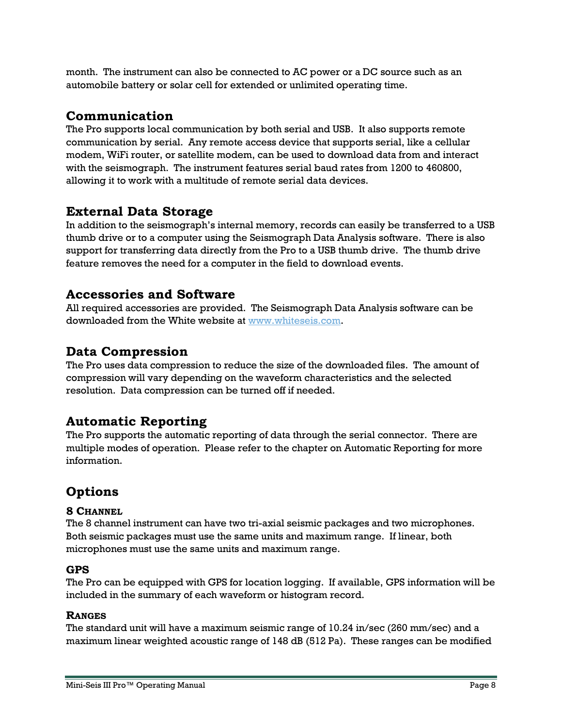month. The instrument can also be connected to AC power or a DC source such as an automobile battery or solar cell for extended or unlimited operating time.

# <span id="page-7-0"></span>**Communication**

The Pro supports local communication by both serial and USB. It also supports remote communication by serial. Any remote access device that supports serial, like a cellular modem, WiFi router, or satellite modem, can be used to download data from and interact with the seismograph. The instrument features serial baud rates from 1200 to 460800, allowing it to work with a multitude of remote serial data devices.

# <span id="page-7-1"></span>**External Data Storage**

In addition to the seismograph's internal memory, records can easily be transferred to a USB thumb drive or to a computer using the Seismograph Data Analysis software. There is also support for transferring data directly from the Pro to a USB thumb drive. The thumb drive feature removes the need for a computer in the field to download events.

# <span id="page-7-2"></span>**Accessories and Software**

All required accessories are provided. The Seismograph Data Analysis software can be downloaded from the White website at [www.whiteseis.com.](http://www.whiteseis.com/)

# <span id="page-7-3"></span>**Data Compression**

The Pro uses data compression to reduce the size of the downloaded files. The amount of compression will vary depending on the waveform characteristics and the selected resolution. Data compression can be turned off if needed.

# <span id="page-7-4"></span>**Automatic Reporting**

The Pro supports the automatic reporting of data through the serial connector. There are multiple modes of operation. Please refer to the chapter on Automatic Reporting for more information.

# <span id="page-7-5"></span>**Options**

#### <span id="page-7-6"></span>**8 CHANNEL**

The 8 channel instrument can have two tri-axial seismic packages and two microphones. Both seismic packages must use the same units and maximum range. If linear, both microphones must use the same units and maximum range.

#### <span id="page-7-7"></span>**GPS**

The Pro can be equipped with GPS for location logging. If available, GPS information will be included in the summary of each waveform or histogram record.

#### <span id="page-7-8"></span>**RANGES**

The standard unit will have a maximum seismic range of 10.24 in/sec (260 mm/sec) and a maximum linear weighted acoustic range of 148 dB (512 Pa). These ranges can be modified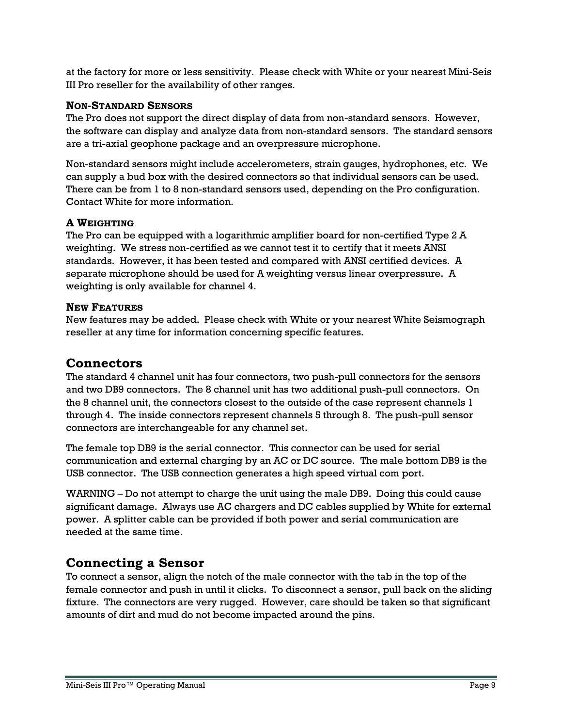at the factory for more or less sensitivity. Please check with White or your nearest Mini-Seis III Pro reseller for the availability of other ranges.

#### <span id="page-8-0"></span>**NON-STANDARD SENSORS**

The Pro does not support the direct display of data from non-standard sensors. However, the software can display and analyze data from non-standard sensors. The standard sensors are a tri-axial geophone package and an overpressure microphone.

Non-standard sensors might include accelerometers, strain gauges, hydrophones, etc. We can supply a bud box with the desired connectors so that individual sensors can be used. There can be from 1 to 8 non-standard sensors used, depending on the Pro configuration. Contact White for more information.

#### <span id="page-8-1"></span>**A WEIGHTING**

The Pro can be equipped with a logarithmic amplifier board for non-certified Type 2 A weighting. We stress non-certified as we cannot test it to certify that it meets ANSI standards. However, it has been tested and compared with ANSI certified devices. A separate microphone should be used for A weighting versus linear overpressure. A weighting is only available for channel 4.

#### <span id="page-8-2"></span>**NEW FEATURES**

New features may be added. Please check with White or your nearest White Seismograph reseller at any time for information concerning specific features.

#### <span id="page-8-3"></span>**Connectors**

The standard 4 channel unit has four connectors, two push-pull connectors for the sensors and two DB9 connectors. The 8 channel unit has two additional push-pull connectors. On the 8 channel unit, the connectors closest to the outside of the case represent channels 1 through 4. The inside connectors represent channels 5 through 8. The push-pull sensor connectors are interchangeable for any channel set.

The female top DB9 is the serial connector. This connector can be used for serial communication and external charging by an AC or DC source. The male bottom DB9 is the USB connector. The USB connection generates a high speed virtual com port.

WARNING – Do not attempt to charge the unit using the male DB9. Doing this could cause significant damage. Always use AC chargers and DC cables supplied by White for external power. A splitter cable can be provided if both power and serial communication are needed at the same time.

# <span id="page-8-4"></span>**Connecting a Sensor**

To connect a sensor, align the notch of the male connector with the tab in the top of the female connector and push in until it clicks. To disconnect a sensor, pull back on the sliding fixture. The connectors are very rugged. However, care should be taken so that significant amounts of dirt and mud do not become impacted around the pins.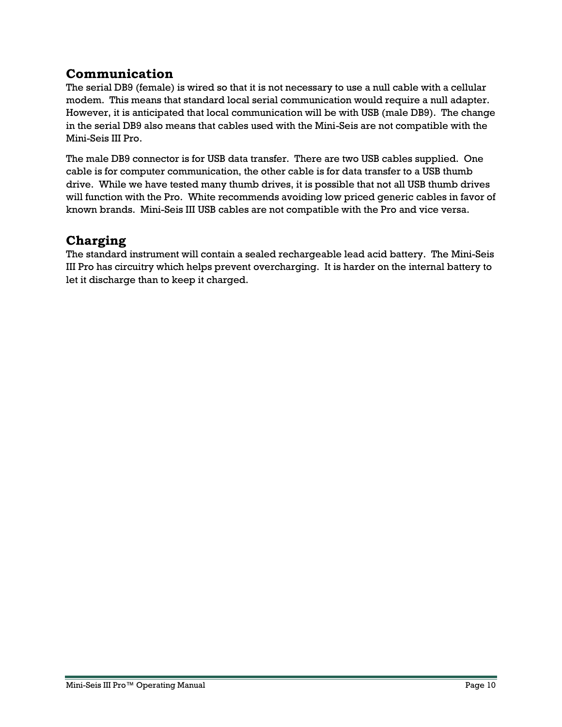# <span id="page-9-0"></span>**Communication**

The serial DB9 (female) is wired so that it is not necessary to use a null cable with a cellular modem. This means that standard local serial communication would require a null adapter. However, it is anticipated that local communication will be with USB (male DB9). The change in the serial DB9 also means that cables used with the Mini-Seis are not compatible with the Mini-Seis III Pro.

The male DB9 connector is for USB data transfer. There are two USB cables supplied. One cable is for computer communication, the other cable is for data transfer to a USB thumb drive. While we have tested many thumb drives, it is possible that not all USB thumb drives will function with the Pro. White recommends avoiding low priced generic cables in favor of known brands. Mini-Seis III USB cables are not compatible with the Pro and vice versa.

# <span id="page-9-1"></span>**Charging**

The standard instrument will contain a sealed rechargeable lead acid battery. The Mini-Seis III Pro has circuitry which helps prevent overcharging. It is harder on the internal battery to let it discharge than to keep it charged.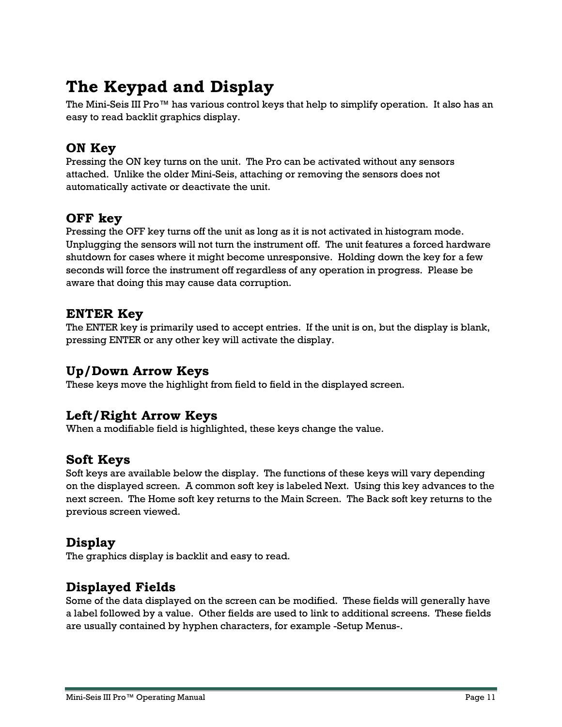# <span id="page-10-0"></span>**The Keypad and Display**

The Mini-Seis III Pro™ has various control keys that help to simplify operation. It also has an easy to read backlit graphics display.

# <span id="page-10-1"></span>**ON Key**

Pressing the ON key turns on the unit. The Pro can be activated without any sensors attached. Unlike the older Mini-Seis, attaching or removing the sensors does not automatically activate or deactivate the unit.

# <span id="page-10-2"></span>**OFF key**

Pressing the OFF key turns off the unit as long as it is not activated in histogram mode. Unplugging the sensors will not turn the instrument off. The unit features a forced hardware shutdown for cases where it might become unresponsive. Holding down the key for a few seconds will force the instrument off regardless of any operation in progress. Please be aware that doing this may cause data corruption.

# <span id="page-10-3"></span>**ENTER Key**

The ENTER key is primarily used to accept entries. If the unit is on, but the display is blank, pressing ENTER or any other key will activate the display.

# <span id="page-10-4"></span>**Up/Down Arrow Keys**

These keys move the highlight from field to field in the displayed screen.

# <span id="page-10-5"></span>**Left/Right Arrow Keys**

When a modifiable field is highlighted, these keys change the value.

# <span id="page-10-6"></span>**Soft Keys**

Soft keys are available below the display. The functions of these keys will vary depending on the displayed screen. A common soft key is labeled Next. Using this key advances to the next screen. The Home soft key returns to the Main Screen. The Back soft key returns to the previous screen viewed.

# <span id="page-10-7"></span>**Display**

The graphics display is backlit and easy to read.

# <span id="page-10-8"></span>**Displayed Fields**

Some of the data displayed on the screen can be modified. These fields will generally have a label followed by a value. Other fields are used to link to additional screens. These fields are usually contained by hyphen characters, for example -Setup Menus-.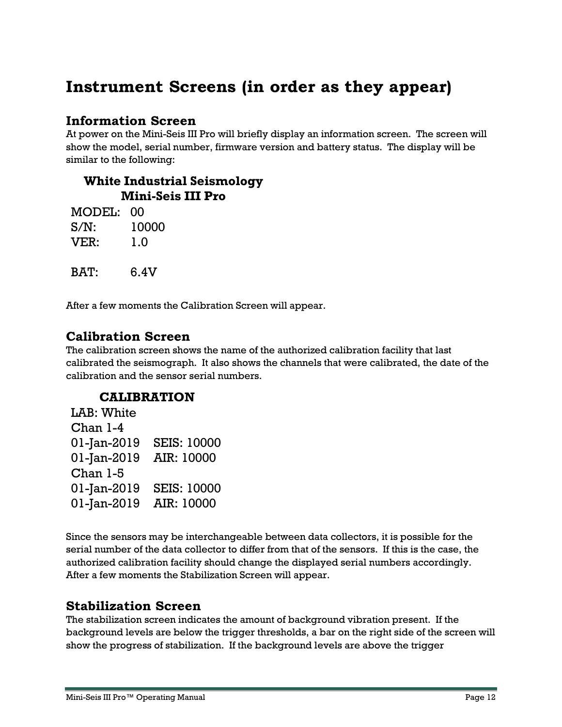# <span id="page-11-0"></span>**Instrument Screens (in order as they appear)**

# <span id="page-11-1"></span>**Information Screen**

At power on the Mini-Seis III Pro will briefly display an information screen. The screen will show the model, serial number, firmware version and battery status. The display will be similar to the following:

### **White Industrial Seismology Mini-Seis III Pro**

| MODEL: 00 |       |
|-----------|-------|
| $S/N$ :   | 10000 |
| VER:      | 1.0   |
|           |       |
| BAT:      | 6.4V  |

After a few moments the Calibration Screen will appear.

# <span id="page-11-2"></span>**Calibration Screen**

The calibration screen shows the name of the authorized calibration facility that last calibrated the seismograph. It also shows the channels that were calibrated, the date of the calibration and the sensor serial numbers.

# **CALIBRATION**

| LAB: White  |                    |
|-------------|--------------------|
| Chan 1-4    |                    |
| 01-Jan-2019 | <b>SEIS: 10000</b> |
| 01-Jan-2019 | AIR: 10000         |
| Chan 1-5    |                    |
| 01-Jan-2019 | <b>SEIS: 10000</b> |
| 01-Jan-2019 | AIR: 10000         |

Since the sensors may be interchangeable between data collectors, it is possible for the serial number of the data collector to differ from that of the sensors. If this is the case, the authorized calibration facility should change the displayed serial numbers accordingly. After a few moments the Stabilization Screen will appear.

# <span id="page-11-3"></span>**Stabilization Screen**

The stabilization screen indicates the amount of background vibration present. If the background levels are below the trigger thresholds, a bar on the right side of the screen will show the progress of stabilization. If the background levels are above the trigger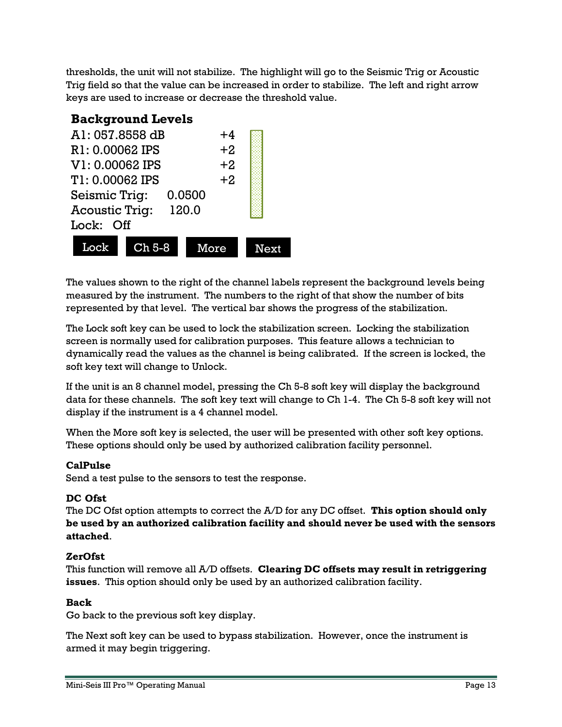thresholds, the unit will not stabilize. The highlight will go to the Seismic Trig or Acoustic Trig field so that the value can be increased in order to stabilize. The left and right arrow keys are used to increase or decrease the threshold value.

# **Background Levels**

| A1: 057.8558 dB<br>$+4$        |                         |      |  |
|--------------------------------|-------------------------|------|--|
|                                | $+2$<br>R1: 0.00062 IPS |      |  |
| V1: 0.00062 IPS<br>$+2$        |                         |      |  |
| $+2$<br>T1: 0.00062 IPS        |                         |      |  |
| Seismic Trig:<br>0.0500        |                         |      |  |
| <b>Acoustic Trig:</b><br>120.0 |                         |      |  |
| Lock: Off                      |                         |      |  |
| Lock                           | $Ch5-8$                 | More |  |

The values shown to the right of the channel labels represent the background levels being measured by the instrument. The numbers to the right of that show the number of bits represented by that level. The vertical bar shows the progress of the stabilization.

The Lock soft key can be used to lock the stabilization screen. Locking the stabilization screen is normally used for calibration purposes. This feature allows a technician to dynamically read the values as the channel is being calibrated. If the screen is locked, the soft key text will change to Unlock.

If the unit is an 8 channel model, pressing the Ch 5-8 soft key will display the background data for these channels. The soft key text will change to Ch 1-4. The Ch 5-8 soft key will not display if the instrument is a 4 channel model.

When the More soft key is selected, the user will be presented with other soft key options. These options should only be used by authorized calibration facility personnel.

#### **CalPulse**

Send a test pulse to the sensors to test the response.

#### **DC Ofst**

The DC Ofst option attempts to correct the A/D for any DC offset. **This option should only be used by an authorized calibration facility and should never be used with the sensors attached**.

#### **ZerOfst**

This function will remove all A/D offsets. **Clearing DC offsets may result in retriggering issues**. This option should only be used by an authorized calibration facility.

#### **Back**

Go back to the previous soft key display.

The Next soft key can be used to bypass stabilization. However, once the instrument is armed it may begin triggering.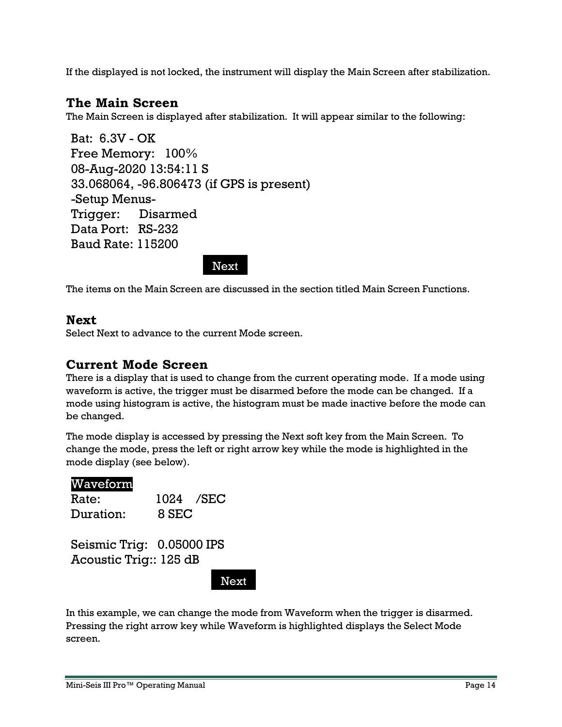<span id="page-13-1"></span>If the displayed is not locked, the instrument will display the Main Screen after stabilization.

# <span id="page-13-0"></span>**The Main Screen**

The Main Screen is displayed after stabilization. It will appear similar to the following:

Bat: 6.3V - OK Free Memory: 100% 08-Aug-2020 13:54:11 S 33.068064, -96.806473 (if GPS is present) -Setup Menus-Trigger: Disarmed Data Port: RS-232 Baud Rate: 115200

Next

The items on the Main Screen are discussed in the section titled Main Screen Functions.

#### <span id="page-13-2"></span>**Next**

Select Next to advance to the current Mode screen.

#### <span id="page-13-3"></span>**Current Mode Screen**

There is a display that is used to change from the current operating mode. If a mode using waveform is active, the trigger must be disarmed before the mode can be changed. If a mode using histogram is active, the histogram must be made inactive before the mode can be changed.

The mode display is accessed by pressing the Next soft key from the Main Screen. To change the mode, press the left or right arrow key while the mode is highlighted in the mode display (see below).

#### Waveform

| Rate:     |       | 1024 / SEC |
|-----------|-------|------------|
| Duration: | 8 SEC |            |

Seismic Trig: 0.05000 IPS Acoustic Trig:: 125 dB

**Next** 

In this example, we can change the mode from Waveform when the trigger is disarmed. Pressing the right arrow key while Waveform is highlighted displays the Select Mode screen.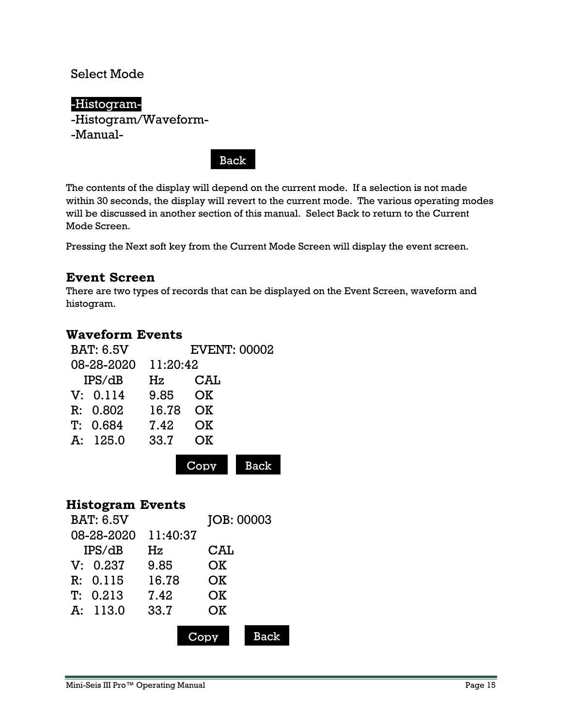### Select Mode

# -Histogram-

-Histogram/Waveform- -Manual-

Back

The contents of the display will depend on the current mode. If a selection is not made within 30 seconds, the display will revert to the current mode. The various operating modes will be discussed in another section of this manual. Select Back to return to the Current Mode Screen.

Pressing the Next soft key from the Current Mode Screen will display the event screen.

### <span id="page-14-0"></span>**Event Screen**

There are two types of records that can be displayed on the Event Screen, waveform and histogram.

### <span id="page-14-1"></span>**Waveform Events**

| <b>BAT: 6.5V</b> |          | <b>EVENT: 00002</b> |            |
|------------------|----------|---------------------|------------|
| 08-28-2020       | 11:20:42 |                     |            |
| IPS/dB           | Hz       | $\rm{CAL}$          |            |
| V: 0.114         | 9.85     | OK                  |            |
| R: 0.802         | 16.78    | OK                  |            |
| T: 0.684         | 7.42     | OK                  |            |
| A: 125.0         | 33.7     | OK                  |            |
|                  |          |                     | <b>Bac</b> |

#### <span id="page-14-2"></span>**Histogram Events**

| <b>BAT: 6.5V</b> |          | JOB: 00003 |             |
|------------------|----------|------------|-------------|
| 08-28-2020       | 11:40:37 |            |             |
| IPS/dB           | Hz       | $\rm{CAL}$ |             |
| V: 0.237         | 9.85     | OK         |             |
| R: 0.115         | 16.78    | OK         |             |
| T: 0.213         | 7.42     | OK         |             |
| A: 113.0         | 33.7     | OK         |             |
|                  |          |            | <b>Back</b> |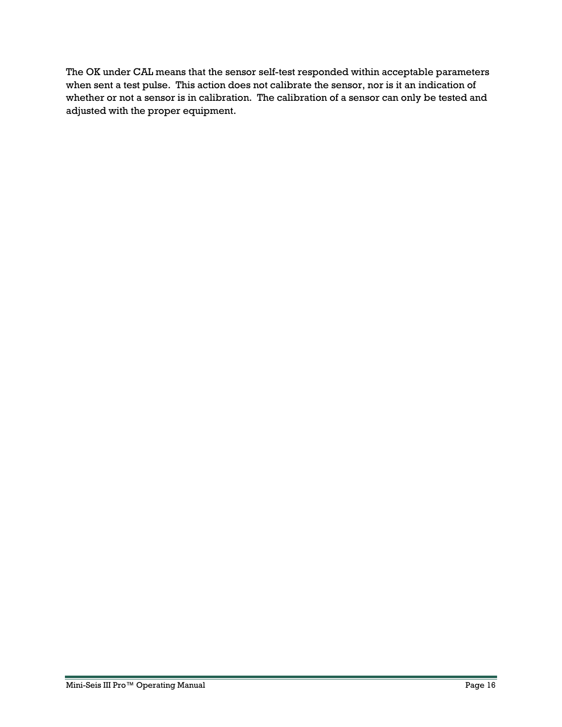The OK under CAL means that the sensor self-test responded within acceptable parameters when sent a test pulse. This action does not calibrate the sensor, nor is it an indication of whether or not a sensor is in calibration. The calibration of a sensor can only be tested and adjusted with the proper equipment.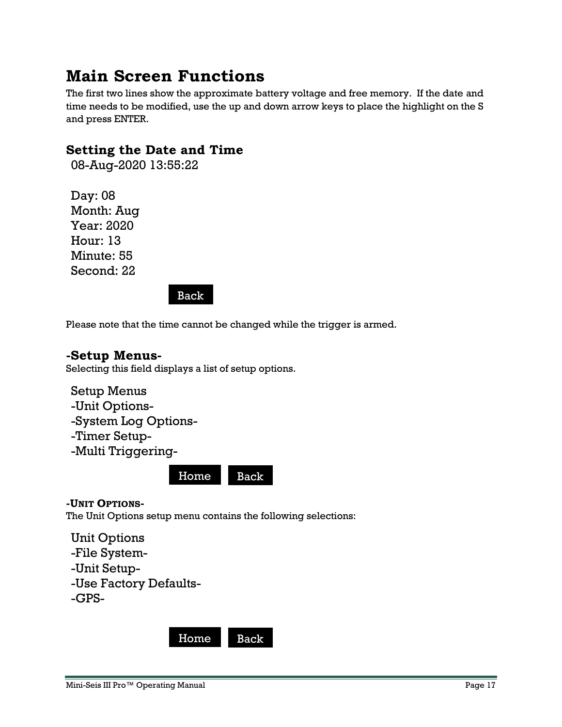# <span id="page-16-0"></span>**Main Screen Functions**

The first two lines show the approximate battery voltage and free memory. If the date and time needs to be modified, use the up and down arrow keys to place the highlight on the S and press ENTER.

# <span id="page-16-1"></span>**Setting the Date and Time**

08-Aug-2020 13:55:22

Day: 08 Month: Aug Year: 2020 Hour: 13 Minute: 55 Second: 22

Back

Please note that the time cannot be changed while the trigger is armed.

# <span id="page-16-2"></span>**-Setup Menus-**

Selecting this field displays a list of setup options.

```
Setup Menus
-Unit Options-
-System Log Options-
-Timer Setup-
-Multi Triggering-
```
Home Back

<span id="page-16-3"></span>**-UNIT OPTIONS-**

The Unit Options setup menu contains the following selections:

Unit Options

- -File System-
- -Unit Setup-
- -Use Factory Defaults-
- -GPS-

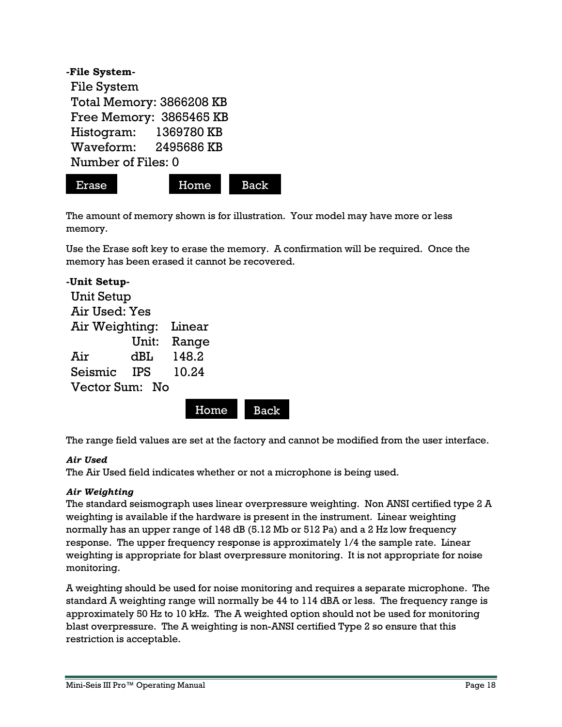| -File System-            |            |
|--------------------------|------------|
| File System              |            |
| Total Memory: 3866208 KB |            |
| Free Memory: 3865465 KB  |            |
| Histogram:               | 1369780 KB |
| Waveform:                | 2495686 KB |
| Number of Files: 0       |            |



The amount of memory shown is for illustration. Your model may have more or less memory.

Use the Erase soft key to erase the memory. A confirmation will be required. Once the memory has been erased it cannot be recovered.

| -Unit Setup-      |            |        |  |  |
|-------------------|------------|--------|--|--|
| <b>Unit Setup</b> |            |        |  |  |
| Air Used: Yes     |            |        |  |  |
| Air Weighting:    |            | Linear |  |  |
|                   | Unit:      | Range  |  |  |
| Air               | dBL        | 148.2  |  |  |
| Seismic           | <b>TPS</b> | 10.24  |  |  |
| Vector Sum:<br>No |            |        |  |  |

Home Back

The range field values are set at the factory and cannot be modified from the user interface.

#### *Air Used*

The Air Used field indicates whether or not a microphone is being used.

#### *Air Weighting*

The standard seismograph uses linear overpressure weighting. Non ANSI certified type 2 A weighting is available if the hardware is present in the instrument. Linear weighting normally has an upper range of 148 dB (5.12 Mb or 512 Pa) and a 2 Hz low frequency response. The upper frequency response is approximately 1/4 the sample rate. Linear weighting is appropriate for blast overpressure monitoring. It is not appropriate for noise monitoring.

A weighting should be used for noise monitoring and requires a separate microphone. The standard A weighting range will normally be 44 to 114 dBA or less. The frequency range is approximately 50 Hz to 10 kHz. The A weighted option should not be used for monitoring blast overpressure. The A weighting is non-ANSI certified Type 2 so ensure that this restriction is acceptable.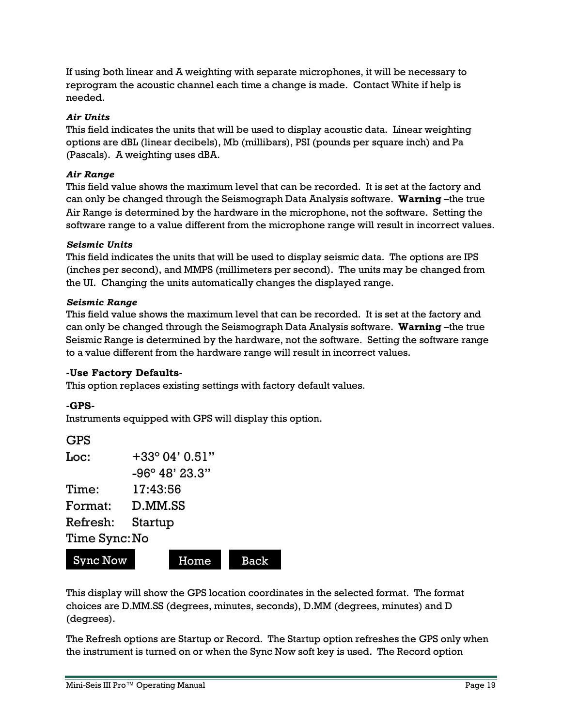If using both linear and A weighting with separate microphones, it will be necessary to reprogram the acoustic channel each time a change is made. Contact White if help is needed.

#### *Air Units*

This field indicates the units that will be used to display acoustic data. Linear weighting options are dBL (linear decibels), Mb (millibars), PSI (pounds per square inch) and Pa (Pascals). A weighting uses dBA.

#### *Air Range*

This field value shows the maximum level that can be recorded. It is set at the factory and can only be changed through the Seismograph Data Analysis software. **Warning** –the true Air Range is determined by the hardware in the microphone, not the software. Setting the software range to a value different from the microphone range will result in incorrect values.

#### *Seismic Units*

This field indicates the units that will be used to display seismic data. The options are IPS (inches per second), and MMPS (millimeters per second). The units may be changed from the UI. Changing the units automatically changes the displayed range.

#### *Seismic Range*

This field value shows the maximum level that can be recorded. It is set at the factory and can only be changed through the Seismograph Data Analysis software. **Warning** –the true Seismic Range is determined by the hardware, not the software. Setting the software range to a value different from the hardware range will result in incorrect values.

#### **-Use Factory Defaults-**

This option replaces existing settings with factory default values.

#### **-GPS-**

Instruments equipped with GPS will display this option.

#### GPS

| Loc:          | +33° 04' 0.51"          |  |  |
|---------------|-------------------------|--|--|
|               | $-96^{\circ}$ 48' 23.3" |  |  |
| Time:         | 17:43:56                |  |  |
| Format:       | D.MM.SS                 |  |  |
| Refresh:      | Startup                 |  |  |
| Time Sync: No |                         |  |  |
|               |                         |  |  |



This display will show the GPS location coordinates in the selected format. The format choices are D.MM.SS (degrees, minutes, seconds), D.MM (degrees, minutes) and D (degrees).

The Refresh options are Startup or Record. The Startup option refreshes the GPS only when the instrument is turned on or when the Sync Now soft key is used. The Record option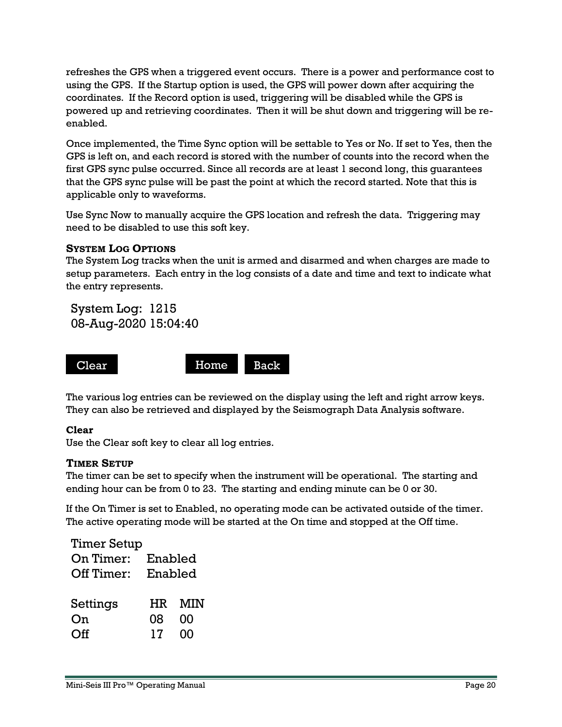refreshes the GPS when a triggered event occurs. There is a power and performance cost to using the GPS. If the Startup option is used, the GPS will power down after acquiring the coordinates. If the Record option is used, triggering will be disabled while the GPS is powered up and retrieving coordinates. Then it will be shut down and triggering will be reenabled.

Once implemented, the Time Sync option will be settable to Yes or No. If set to Yes, then the GPS is left on, and each record is stored with the number of counts into the record when the first GPS sync pulse occurred. Since all records are at least 1 second long, this guarantees that the GPS sync pulse will be past the point at which the record started. Note that this is applicable only to waveforms.

Use Sync Now to manually acquire the GPS location and refresh the data. Triggering may need to be disabled to use this soft key.

#### <span id="page-19-0"></span>**SYSTEM LOG OPTIONS**

The System Log tracks when the unit is armed and disarmed and when charges are made to setup parameters. Each entry in the log consists of a date and time and text to indicate what the entry represents.

System Log: 1215 08-Aug-2020 15:04:40



The various log entries can be reviewed on the display using the left and right arrow keys. They can also be retrieved and displayed by the Seismograph Data Analysis software.

#### **Clear**

Use the Clear soft key to clear all log entries.

#### <span id="page-19-1"></span>**TIMER SETUP**

The timer can be set to specify when the instrument will be operational. The starting and ending hour can be from 0 to 23. The starting and ending minute can be 0 or 30.

If the On Timer is set to Enabled, no operating mode can be activated outside of the timer. The active operating mode will be started at the On time and stopped at the Off time.

| <b>Timer Setup</b> |         |     |  |  |
|--------------------|---------|-----|--|--|
| On Timer:          | Enabled |     |  |  |
| Off Timer:         | Enabled |     |  |  |
| Settings           | HR.     | MIN |  |  |
| On                 | 08      | 00  |  |  |
| Off                | 17      | ∩∩  |  |  |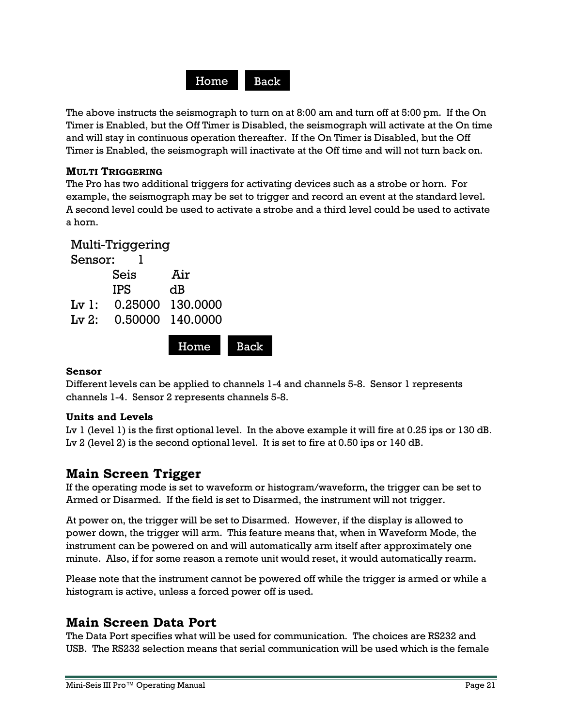

The above instructs the seismograph to turn on at 8:00 am and turn off at 5:00 pm. If the On Timer is Enabled, but the Off Timer is Disabled, the seismograph will activate at the On time and will stay in continuous operation thereafter. If the On Timer is Disabled, but the Off Timer is Enabled, the seismograph will inactivate at the Off time and will not turn back on.

#### <span id="page-20-0"></span>**MULTI TRIGGERING**

The Pro has two additional triggers for activating devices such as a strobe or horn. For example, the seismograph may be set to trigger and record an event at the standard level. A second level could be used to activate a strobe and a third level could be used to activate a horn.

|         | Multi-Triggering         |      |             |
|---------|--------------------------|------|-------------|
| Sensor: |                          |      |             |
|         | Seis                     | Air  |             |
|         | <b>IPS</b>               | dB   |             |
|         | Lv1: 0.25000 130.0000    |      |             |
|         | $Lv$ 2: 0.50000 140.0000 |      |             |
|         |                          |      |             |
|         |                          | Home | <b>Back</b> |

#### **Sensor**

Different levels can be applied to channels 1-4 and channels 5-8. Sensor 1 represents channels 1-4. Sensor 2 represents channels 5-8.

#### **Units and Levels**

Lv 1 (level 1) is the first optional level. In the above example it will fire at 0.25 ips or 130 dB. Lv 2 (level 2) is the second optional level. It is set to fire at 0.50 ips or 140 dB.

# <span id="page-20-1"></span>**Main Screen Trigger**

If the operating mode is set to waveform or histogram/waveform, the trigger can be set to Armed or Disarmed. If the field is set to Disarmed, the instrument will not trigger.

At power on, the trigger will be set to Disarmed. However, if the display is allowed to power down, the trigger will arm. This feature means that, when in Waveform Mode, the instrument can be powered on and will automatically arm itself after approximately one minute. Also, if for some reason a remote unit would reset, it would automatically rearm.

Please note that the instrument cannot be powered off while the trigger is armed or while a histogram is active, unless a forced power off is used.

# <span id="page-20-2"></span>**Main Screen Data Port**

The Data Port specifies what will be used for communication. The choices are RS232 and USB. The RS232 selection means that serial communication will be used which is the female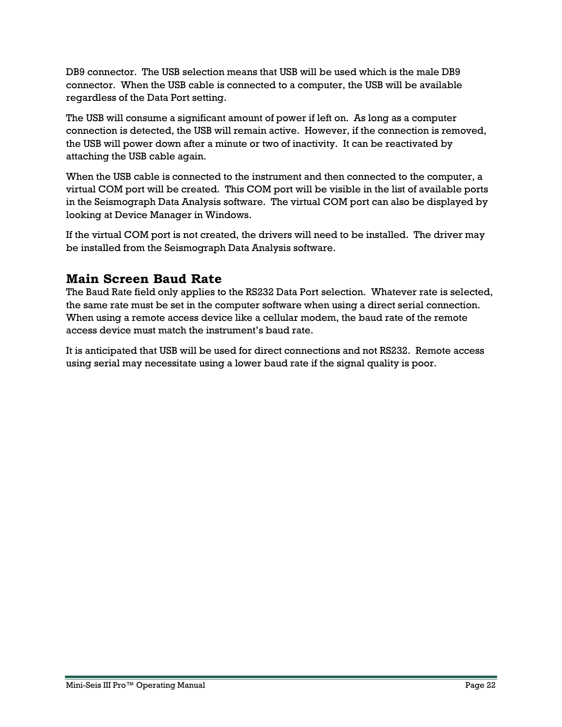DB9 connector. The USB selection means that USB will be used which is the male DB9 connector. When the USB cable is connected to a computer, the USB will be available regardless of the Data Port setting.

The USB will consume a significant amount of power if left on. As long as a computer connection is detected, the USB will remain active. However, if the connection is removed, the USB will power down after a minute or two of inactivity. It can be reactivated by attaching the USB cable again.

When the USB cable is connected to the instrument and then connected to the computer, a virtual COM port will be created. This COM port will be visible in the list of available ports in the Seismograph Data Analysis software. The virtual COM port can also be displayed by looking at Device Manager in Windows.

If the virtual COM port is not created, the drivers will need to be installed. The driver may be installed from the Seismograph Data Analysis software.

# <span id="page-21-0"></span>**Main Screen Baud Rate**

The Baud Rate field only applies to the RS232 Data Port selection. Whatever rate is selected, the same rate must be set in the computer software when using a direct serial connection. When using a remote access device like a cellular modem, the baud rate of the remote access device must match the instrument's baud rate.

It is anticipated that USB will be used for direct connections and not RS232. Remote access using serial may necessitate using a lower baud rate if the signal quality is poor.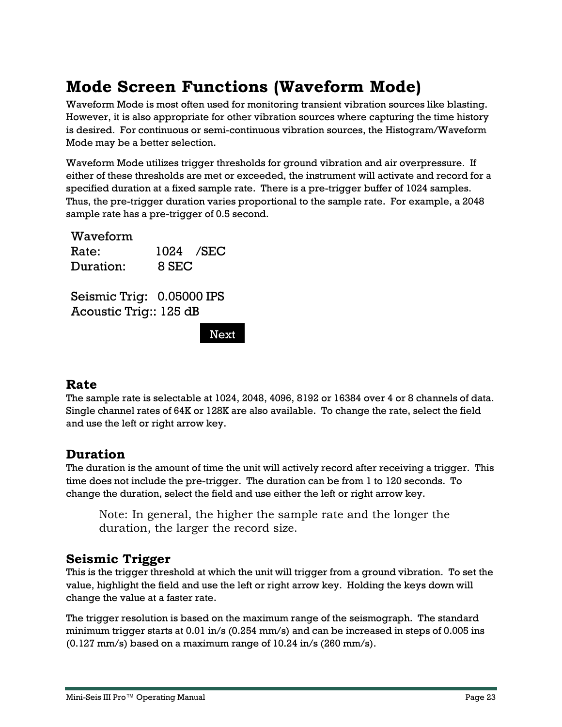# <span id="page-22-0"></span>**Mode Screen Functions (Waveform Mode)**

Waveform Mode is most often used for monitoring transient vibration sources like blasting. However, it is also appropriate for other vibration sources where capturing the time history is desired. For continuous or semi-continuous vibration sources, the Histogram/Waveform Mode may be a better selection.

Waveform Mode utilizes trigger thresholds for ground vibration and air overpressure. If either of these thresholds are met or exceeded, the instrument will activate and record for a specified duration at a fixed sample rate. There is a pre-trigger buffer of 1024 samples. Thus, the pre-trigger duration varies proportional to the sample rate. For example, a 2048 sample rate has a pre-trigger of 0.5 second.

Waveform Rate: 1024 /SEC Duration: 8 SEC

Seismic Trig: 0.05000 IPS Acoustic Trig:: 125 dB

Next

# <span id="page-22-1"></span>**Rate**

The sample rate is selectable at 1024, 2048, 4096, 8192 or 16384 over 4 or 8 channels of data. Single channel rates of 64K or 128K are also available. To change the rate, select the field and use the left or right arrow key.

# <span id="page-22-2"></span>**Duration**

The duration is the amount of time the unit will actively record after receiving a trigger. This time does not include the pre-trigger. The duration can be from 1 to 120 seconds. To change the duration, select the field and use either the left or right arrow key.

Note: In general, the higher the sample rate and the longer the duration, the larger the record size.

# <span id="page-22-3"></span>**Seismic Trigger**

This is the trigger threshold at which the unit will trigger from a ground vibration. To set the value, highlight the field and use the left or right arrow key. Holding the keys down will change the value at a faster rate.

The trigger resolution is based on the maximum range of the seismograph. The standard minimum trigger starts at 0.01 in/s (0.254 mm/s) and can be increased in steps of 0.005 ins (0.127 mm/s) based on a maximum range of 10.24 in/s (260 mm/s).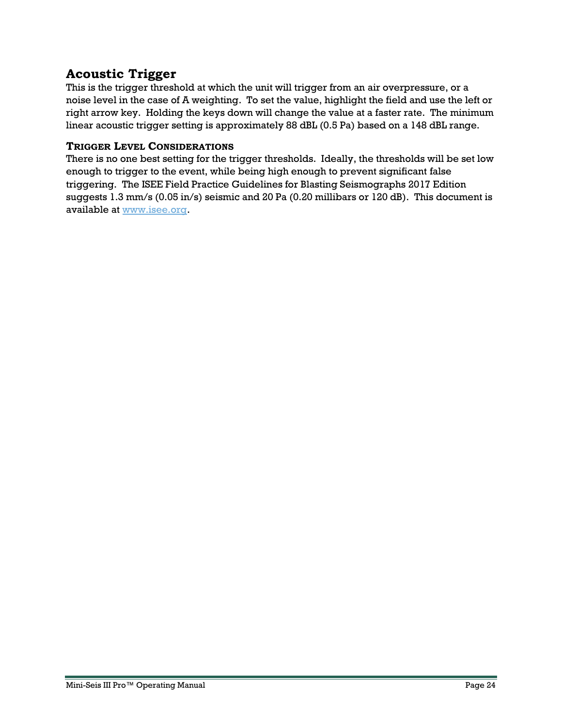# <span id="page-23-0"></span>**Acoustic Trigger**

This is the trigger threshold at which the unit will trigger from an air overpressure, or a noise level in the case of A weighting. To set the value, highlight the field and use the left or right arrow key. Holding the keys down will change the value at a faster rate. The minimum linear acoustic trigger setting is approximately 88 dBL (0.5 Pa) based on a 148 dBL range.

#### <span id="page-23-1"></span>**TRIGGER LEVEL CONSIDERATIONS**

There is no one best setting for the trigger thresholds. Ideally, the thresholds will be set low enough to trigger to the event, while being high enough to prevent significant false triggering. The ISEE Field Practice Guidelines for Blasting Seismographs 2017 Edition suggests 1.3 mm/s (0.05 in/s) seismic and 20 Pa (0.20 millibars or 120 dB). This document is available at [www.isee.org.](http://www.isee.org/)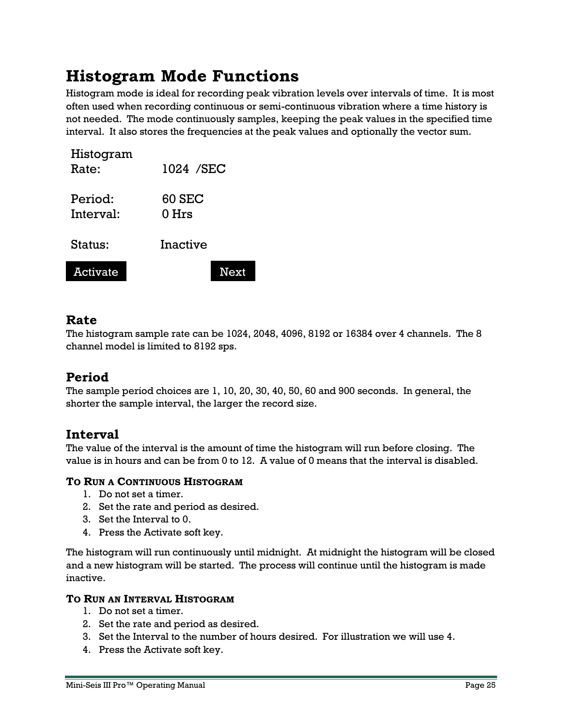# <span id="page-24-0"></span>**Histogram Mode Functions**

Histogram mode is ideal for recording peak vibration levels over intervals of time. It is most often used when recording continuous or semi-continuous vibration where a time history is not needed. The mode continuously samples, keeping the peak values in the specified time interval. It also stores the frequencies at the peak values and optionally the vector sum.

| Histogram<br>Rate:   | 1024 / SEC             |
|----------------------|------------------------|
| Period:<br>Interval: | <b>60 SEC</b><br>0 Hrs |
| Status:              | Inactive               |
| <b>Activate</b>      | <b>Next</b>            |

# <span id="page-24-1"></span>**Rate**

The histogram sample rate can be 1024, 2048, 4096, 8192 or 16384 over 4 channels. The 8 channel model is limited to 8192 sps.

# <span id="page-24-2"></span>**Period**

The sample period choices are 1, 10, 20, 30, 40, 50, 60 and 900 seconds. In general, the shorter the sample interval, the larger the record size.

# <span id="page-24-3"></span>**Interval**

The value of the interval is the amount of time the histogram will run before closing. The value is in hours and can be from 0 to 12. A value of 0 means that the interval is disabled.

#### <span id="page-24-4"></span>**TO RUN A CONTINUOUS HISTOGRAM**

- 1. Do not set a timer.
- 2. Set the rate and period as desired.
- 3. Set the Interval to 0.
- 4. Press the Activate soft key.

The histogram will run continuously until midnight. At midnight the histogram will be closed and a new histogram will be started. The process will continue until the histogram is made inactive.

#### <span id="page-24-5"></span>**TO RUN AN INTERVAL HISTOGRAM**

- 1. Do not set a timer.
- 2. Set the rate and period as desired.
- 3. Set the Interval to the number of hours desired. For illustration we will use 4.
- 4. Press the Activate soft key.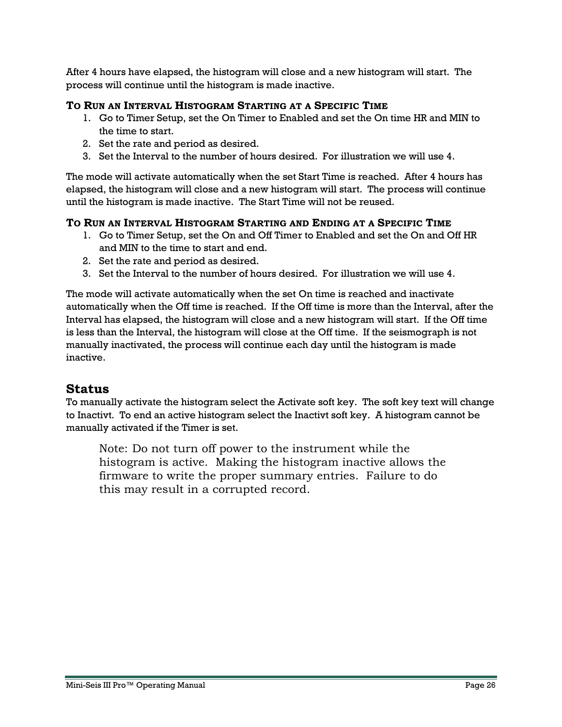After 4 hours have elapsed, the histogram will close and a new histogram will start. The process will continue until the histogram is made inactive.

#### <span id="page-25-0"></span>**TO RUN AN INTERVAL HISTOGRAM STARTING AT A SPECIFIC TIME**

- 1. Go to Timer Setup, set the On Timer to Enabled and set the On time HR and MIN to the time to start.
- 2. Set the rate and period as desired.
- 3. Set the Interval to the number of hours desired. For illustration we will use 4.

The mode will activate automatically when the set Start Time is reached. After 4 hours has elapsed, the histogram will close and a new histogram will start. The process will continue until the histogram is made inactive. The Start Time will not be reused.

#### <span id="page-25-1"></span>**TO RUN AN INTERVAL HISTOGRAM STARTING AND ENDING AT A SPECIFIC TIME**

- 1. Go to Timer Setup, set the On and Off Timer to Enabled and set the On and Off HR and MIN to the time to start and end.
- 2. Set the rate and period as desired.
- 3. Set the Interval to the number of hours desired. For illustration we will use 4.

The mode will activate automatically when the set On time is reached and inactivate automatically when the Off time is reached. If the Off time is more than the Interval, after the Interval has elapsed, the histogram will close and a new histogram will start. If the Off time is less than the Interval, the histogram will close at the Off time. If the seismograph is not manually inactivated, the process will continue each day until the histogram is made inactive.

#### <span id="page-25-2"></span>**Status**

To manually activate the histogram select the Activate soft key. The soft key text will change to Inactivt. To end an active histogram select the Inactivt soft key. A histogram cannot be manually activated if the Timer is set.

Note: Do not turn off power to the instrument while the histogram is active. Making the histogram inactive allows the firmware to write the proper summary entries. Failure to do this may result in a corrupted record.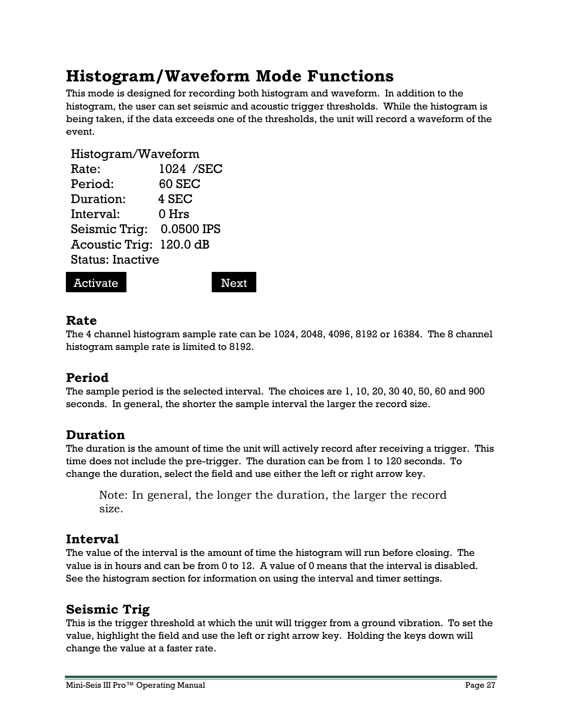# <span id="page-26-0"></span>**Histogram/Waveform Mode Functions**

This mode is designed for recording both histogram and waveform. In addition to the histogram, the user can set seismic and acoustic trigger thresholds. While the histogram is being taken, if the data exceeds one of the thresholds, the unit will record a waveform of the event.

#### Histogram/Waveform

| Rate:                    | 1024 / SEC    |  |
|--------------------------|---------------|--|
| Period:                  | <b>60 SEC</b> |  |
| Duration:                | 4 SEC         |  |
| Interval:                | 0 Hrs         |  |
| Seismic Trig: 0.0500 IPS |               |  |
| Acoustic Trig: 120.0 dB  |               |  |
| <b>Status: Inactive</b>  |               |  |
|                          |               |  |

#### Activate Next

# <span id="page-26-1"></span>**Rate**

The 4 channel histogram sample rate can be 1024, 2048, 4096, 8192 or 16384. The 8 channel histogram sample rate is limited to 8192.

# <span id="page-26-2"></span>**Period**

The sample period is the selected interval. The choices are 1, 10, 20, 30 40, 50, 60 and 900 seconds. In general, the shorter the sample interval the larger the record size.

# <span id="page-26-3"></span>**Duration**

The duration is the amount of time the unit will actively record after receiving a trigger. This time does not include the pre-trigger. The duration can be from 1 to 120 seconds. To change the duration, select the field and use either the left or right arrow key.

Note: In general, the longer the duration, the larger the record size.

# <span id="page-26-4"></span>**Interval**

The value of the interval is the amount of time the histogram will run before closing. The value is in hours and can be from 0 to 12. A value of 0 means that the interval is disabled. See the histogram section for information on using the interval and timer settings.

# <span id="page-26-5"></span>**Seismic Trig**

This is the trigger threshold at which the unit will trigger from a ground vibration. To set the value, highlight the field and use the left or right arrow key. Holding the keys down will change the value at a faster rate.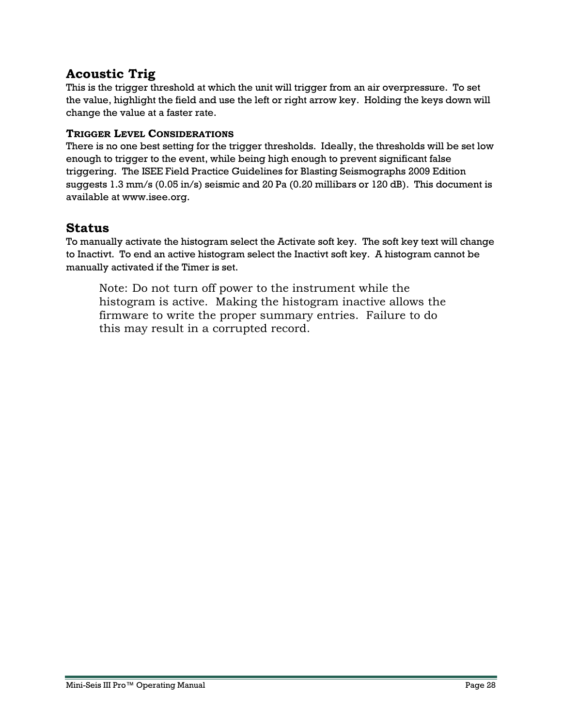# <span id="page-27-0"></span>**Acoustic Trig**

This is the trigger threshold at which the unit will trigger from an air overpressure. To set the value, highlight the field and use the left or right arrow key. Holding the keys down will change the value at a faster rate.

#### <span id="page-27-1"></span>**TRIGGER LEVEL CONSIDERATIONS**

There is no one best setting for the trigger thresholds. Ideally, the thresholds will be set low enough to trigger to the event, while being high enough to prevent significant false triggering. The ISEE Field Practice Guidelines for Blasting Seismographs 2009 Edition suggests 1.3 mm/s (0.05 in/s) seismic and 20 Pa (0.20 millibars or 120 dB). This document is available at www.isee.org.

#### <span id="page-27-2"></span>**Status**

To manually activate the histogram select the Activate soft key. The soft key text will change to Inactivt. To end an active histogram select the Inactivt soft key. A histogram cannot be manually activated if the Timer is set.

Note: Do not turn off power to the instrument while the histogram is active. Making the histogram inactive allows the firmware to write the proper summary entries. Failure to do this may result in a corrupted record.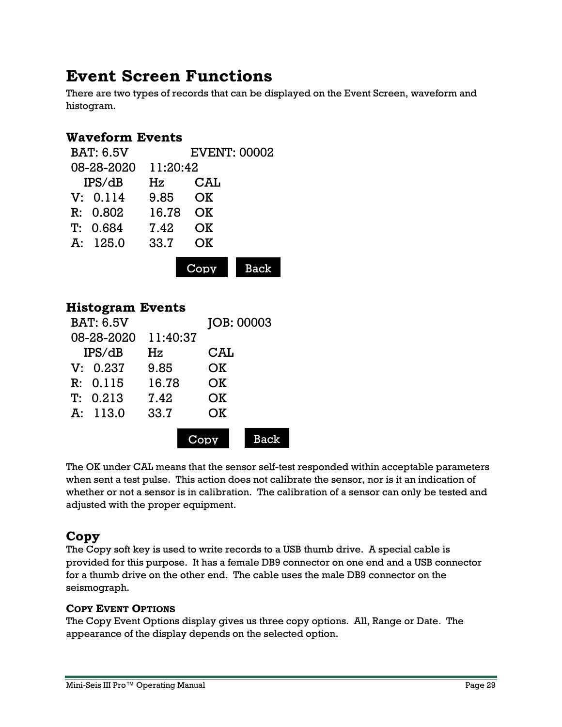# <span id="page-28-0"></span>**Event Screen Functions**

There are two types of records that can be displayed on the Event Screen, waveform and histogram.

# <span id="page-28-1"></span>**Waveform Events**

| <b>BAT: 6.5V</b> |          | <b>EVENT: 00002</b> |             |
|------------------|----------|---------------------|-------------|
| 08-28-2020       | 11:20:42 |                     |             |
| IPS/dB           | Hz       | CAL                 |             |
| V: 0.114         | 9.85     | OK                  |             |
| R: 0.802         | 16.78    | <b>OK</b>           |             |
| T: 0.684         | 7.42     | OK                  |             |
| A: 125.0         | 33.7     | <b>OK</b>           |             |
|                  |          |                     |             |
|                  |          |                     | <b>Back</b> |

# <span id="page-28-2"></span>**Histogram Events**

| <b>BAT: 6.5V</b> |          | JOB: 00003 |  |
|------------------|----------|------------|--|
| 08-28-2020       | 11:40:37 |            |  |
| IPS/dB           | Hz       | CAL        |  |
| V: 0.237         | 9.85     | OK         |  |
| R: 0.115         | 16.78    | OK         |  |
| T: 0.213         | 7.42     | OK         |  |
| A: 113.0         | 33.7     | OK         |  |
|                  |          |            |  |
|                  |          |            |  |

The OK under CAL means that the sensor self-test responded within acceptable parameters when sent a test pulse. This action does not calibrate the sensor, nor is it an indication of whether or not a sensor is in calibration. The calibration of a sensor can only be tested and adjusted with the proper equipment.

# <span id="page-28-3"></span>**Copy**

The Copy soft key is used to write records to a USB thumb drive. A special cable is provided for this purpose. It has a female DB9 connector on one end and a USB connector for a thumb drive on the other end. The cable uses the male DB9 connector on the seismograph.

#### <span id="page-28-4"></span>**COPY EVENT OPTIONS**

The Copy Event Options display gives us three copy options. All, Range or Date. The appearance of the display depends on the selected option.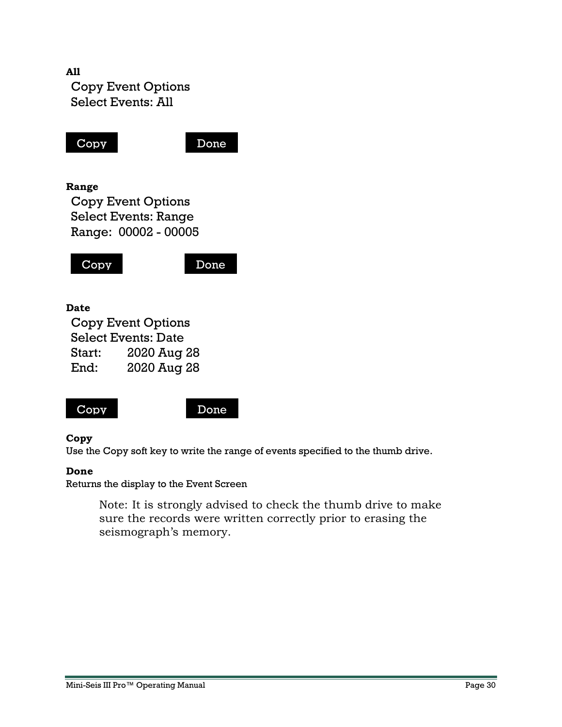



#### **Copy**

Use the Copy soft key to write the range of events specified to the thumb drive.

#### **Done**

Returns the display to the Event Screen

Note: It is strongly advised to check the thumb drive to make sure the records were written correctly prior to erasing the seismograph's memory.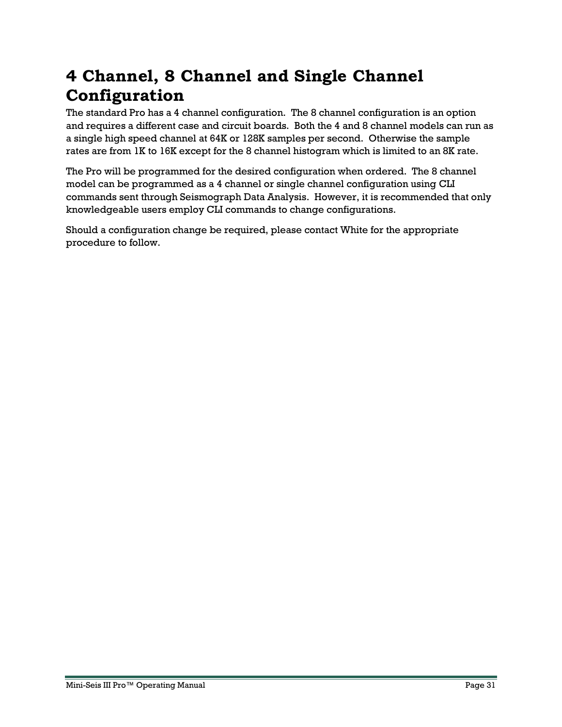# <span id="page-30-0"></span>**4 Channel, 8 Channel and Single Channel Configuration**

The standard Pro has a 4 channel configuration. The 8 channel configuration is an option and requires a different case and circuit boards. Both the 4 and 8 channel models can run as a single high speed channel at 64K or 128K samples per second. Otherwise the sample rates are from 1K to 16K except for the 8 channel histogram which is limited to an 8K rate.

The Pro will be programmed for the desired configuration when ordered. The 8 channel model can be programmed as a 4 channel or single channel configuration using CLI commands sent through Seismograph Data Analysis. However, it is recommended that only knowledgeable users employ CLI commands to change configurations.

Should a configuration change be required, please contact White for the appropriate procedure to follow.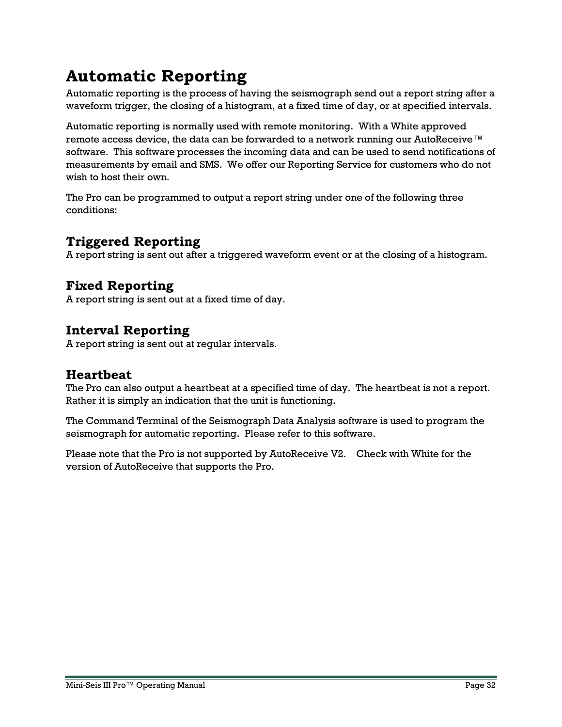# <span id="page-31-0"></span>**Automatic Reporting**

Automatic reporting is the process of having the seismograph send out a report string after a waveform trigger, the closing of a histogram, at a fixed time of day, or at specified intervals.

Automatic reporting is normally used with remote monitoring. With a White approved remote access device, the data can be forwarded to a network running our AutoReceive™ software. This software processes the incoming data and can be used to send notifications of measurements by email and SMS. We offer our Reporting Service for customers who do not wish to host their own.

The Pro can be programmed to output a report string under one of the following three conditions:

# <span id="page-31-1"></span>**Triggered Reporting**

A report string is sent out after a triggered waveform event or at the closing of a histogram.

# <span id="page-31-2"></span>**Fixed Reporting**

A report string is sent out at a fixed time of day.

# <span id="page-31-3"></span>**Interval Reporting**

A report string is sent out at regular intervals.

# <span id="page-31-4"></span>**Heartbeat**

The Pro can also output a heartbeat at a specified time of day. The heartbeat is not a report. Rather it is simply an indication that the unit is functioning.

The Command Terminal of the Seismograph Data Analysis software is used to program the seismograph for automatic reporting. Please refer to this software.

Please note that the Pro is not supported by AutoReceive V2. Check with White for the version of AutoReceive that supports the Pro.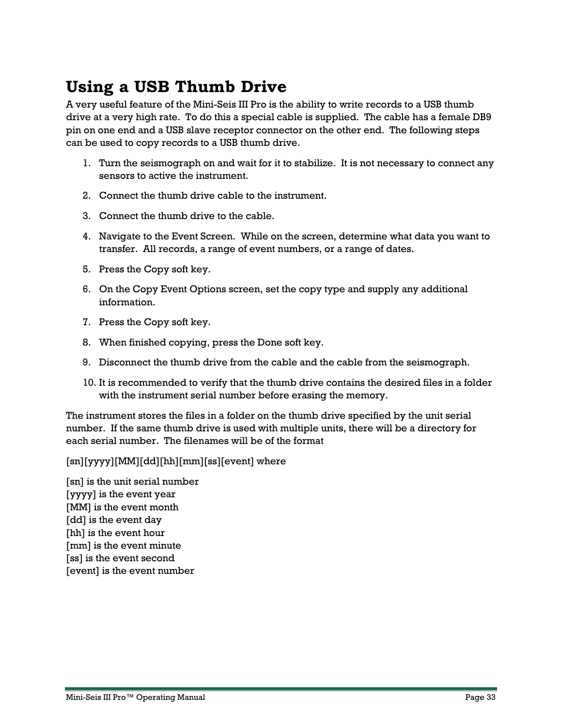# <span id="page-32-0"></span>**Using a USB Thumb Drive**

A very useful feature of the Mini-Seis III Pro is the ability to write records to a USB thumb drive at a very high rate. To do this a special cable is supplied. The cable has a female DB9 pin on one end and a USB slave receptor connector on the other end. The following steps can be used to copy records to a USB thumb drive.

- 1. Turn the seismograph on and wait for it to stabilize. It is not necessary to connect any sensors to active the instrument.
- 2. Connect the thumb drive cable to the instrument.
- 3. Connect the thumb drive to the cable.
- 4. Navigate to the Event Screen. While on the screen, determine what data you want to transfer. All records, a range of event numbers, or a range of dates.
- 5. Press the Copy soft key.
- 6. On the Copy Event Options screen, set the copy type and supply any additional information.
- 7. Press the Copy soft key.
- 8. When finished copying, press the Done soft key.
- 9. Disconnect the thumb drive from the cable and the cable from the seismograph.
- 10. It is recommended to verify that the thumb drive contains the desired files in a folder with the instrument serial number before erasing the memory.

The instrument stores the files in a folder on the thumb drive specified by the unit serial number. If the same thumb drive is used with multiple units, there will be a directory for each serial number. The filenames will be of the format

#### [sn][yyyy][MM][dd][hh][mm][ss][event] where

[sn] is the unit serial number [yyyy] is the event year [MM] is the event month [dd] is the event day [hh] is the event hour [mm] is the event minute [ss] is the event second [event] is the event number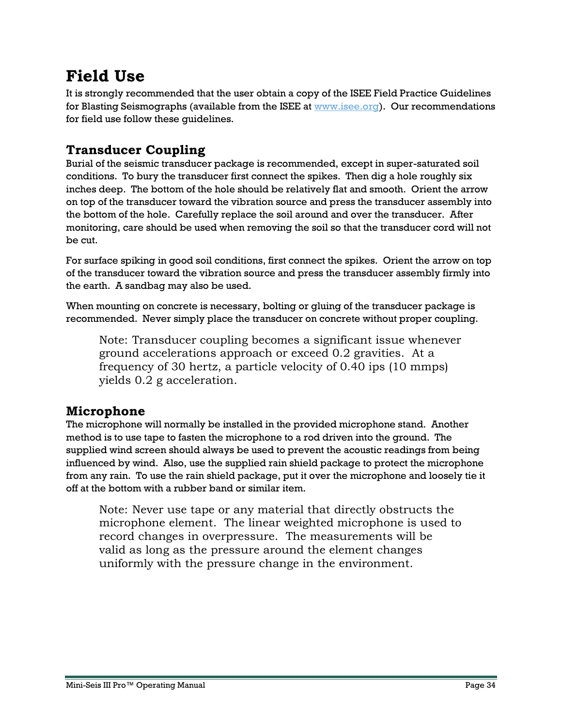# <span id="page-33-0"></span>**Field Use**

It is strongly recommended that the user obtain a copy of the ISEE Field Practice Guidelines for Blasting Seismographs (available from the ISEE at [www.isee.org\)](http://www.isee.org/). Our recommendations for field use follow these guidelines.

# <span id="page-33-1"></span>**Transducer Coupling**

Burial of the seismic transducer package is recommended, except in super-saturated soil conditions. To bury the transducer first connect the spikes. Then dig a hole roughly six inches deep. The bottom of the hole should be relatively flat and smooth. Orient the arrow on top of the transducer toward the vibration source and press the transducer assembly into the bottom of the hole. Carefully replace the soil around and over the transducer. After monitoring, care should be used when removing the soil so that the transducer cord will not be cut.

For surface spiking in good soil conditions, first connect the spikes. Orient the arrow on top of the transducer toward the vibration source and press the transducer assembly firmly into the earth. A sandbag may also be used.

When mounting on concrete is necessary, bolting or gluing of the transducer package is recommended. Never simply place the transducer on concrete without proper coupling.

Note: Transducer coupling becomes a significant issue whenever ground accelerations approach or exceed 0.2 gravities. At a frequency of 30 hertz, a particle velocity of 0.40 ips (10 mmps) yields 0.2 g acceleration.

# <span id="page-33-2"></span>**Microphone**

The microphone will normally be installed in the provided microphone stand. Another method is to use tape to fasten the microphone to a rod driven into the ground. The supplied wind screen should always be used to prevent the acoustic readings from being influenced by wind. Also, use the supplied rain shield package to protect the microphone from any rain. To use the rain shield package, put it over the microphone and loosely tie it off at the bottom with a rubber band or similar item.

Note: Never use tape or any material that directly obstructs the microphone element. The linear weighted microphone is used to record changes in overpressure. The measurements will be valid as long as the pressure around the element changes uniformly with the pressure change in the environment.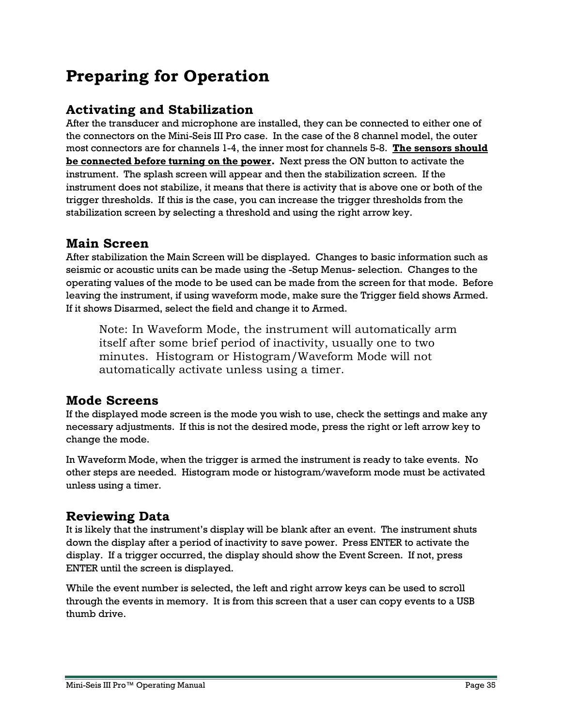# <span id="page-34-0"></span>**Preparing for Operation**

# <span id="page-34-1"></span>**Activating and Stabilization**

After the transducer and microphone are installed, they can be connected to either one of the connectors on the Mini-Seis III Pro case. In the case of the 8 channel model, the outer most connectors are for channels 1-4, the inner most for channels 5-8. **The sensors should be connected before turning on the power.** Next press the ON button to activate the instrument. The splash screen will appear and then the stabilization screen. If the instrument does not stabilize, it means that there is activity that is above one or both of the trigger thresholds. If this is the case, you can increase the trigger thresholds from the stabilization screen by selecting a threshold and using the right arrow key.

# <span id="page-34-2"></span>**Main Screen**

After stabilization the Main Screen will be displayed. Changes to basic information such as seismic or acoustic units can be made using the -Setup Menus- selection. Changes to the operating values of the mode to be used can be made from the screen for that mode. Before leaving the instrument, if using waveform mode, make sure the Trigger field shows Armed. If it shows Disarmed, select the field and change it to Armed.

Note: In Waveform Mode, the instrument will automatically arm itself after some brief period of inactivity, usually one to two minutes. Histogram or Histogram/Waveform Mode will not automatically activate unless using a timer.

# <span id="page-34-3"></span>**Mode Screens**

If the displayed mode screen is the mode you wish to use, check the settings and make any necessary adjustments. If this is not the desired mode, press the right or left arrow key to change the mode.

In Waveform Mode, when the trigger is armed the instrument is ready to take events. No other steps are needed. Histogram mode or histogram/waveform mode must be activated unless using a timer.

# <span id="page-34-4"></span>**Reviewing Data**

It is likely that the instrument's display will be blank after an event. The instrument shuts down the display after a period of inactivity to save power. Press ENTER to activate the display. If a trigger occurred, the display should show the Event Screen. If not, press ENTER until the screen is displayed.

While the event number is selected, the left and right arrow keys can be used to scroll through the events in memory. It is from this screen that a user can copy events to a USB thumb drive.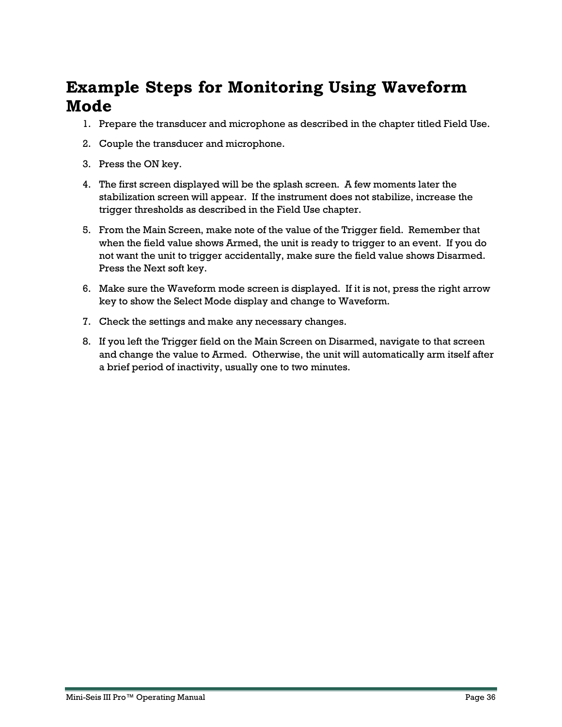# <span id="page-35-0"></span>**Example Steps for Monitoring Using Waveform Mode**

- 1. Prepare the transducer and microphone as described in the chapter titled Field Use.
- 2. Couple the transducer and microphone.
- 3. Press the ON key.
- 4. The first screen displayed will be the splash screen. A few moments later the stabilization screen will appear. If the instrument does not stabilize, increase the trigger thresholds as described in the Field Use chapter.
- 5. From the Main Screen, make note of the value of the Trigger field. Remember that when the field value shows Armed, the unit is ready to trigger to an event. If you do not want the unit to trigger accidentally, make sure the field value shows Disarmed. Press the Next soft key.
- 6. Make sure the Waveform mode screen is displayed. If it is not, press the right arrow key to show the Select Mode display and change to Waveform.
- 7. Check the settings and make any necessary changes.
- 8. If you left the Trigger field on the Main Screen on Disarmed, navigate to that screen and change the value to Armed. Otherwise, the unit will automatically arm itself after a brief period of inactivity, usually one to two minutes.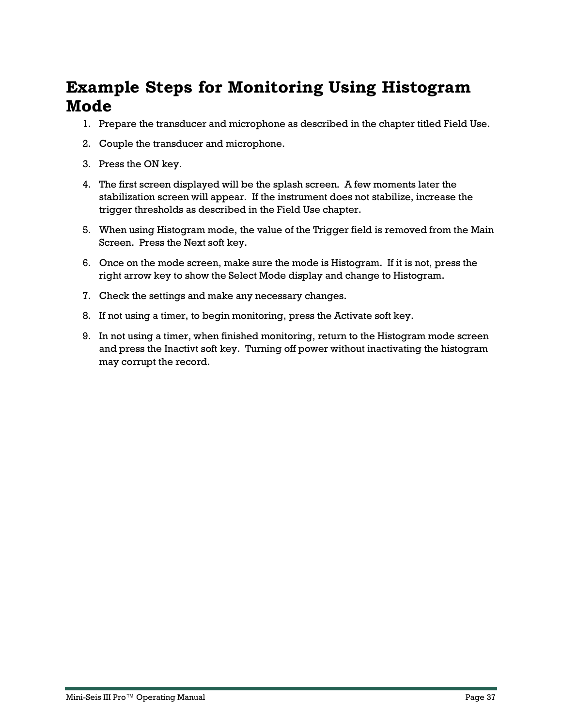# <span id="page-36-0"></span>**Example Steps for Monitoring Using Histogram Mode**

- 1. Prepare the transducer and microphone as described in the chapter titled Field Use.
- 2. Couple the transducer and microphone.
- 3. Press the ON key.
- 4. The first screen displayed will be the splash screen. A few moments later the stabilization screen will appear. If the instrument does not stabilize, increase the trigger thresholds as described in the Field Use chapter.
- 5. When using Histogram mode, the value of the Trigger field is removed from the Main Screen. Press the Next soft key.
- 6. Once on the mode screen, make sure the mode is Histogram. If it is not, press the right arrow key to show the Select Mode display and change to Histogram.
- 7. Check the settings and make any necessary changes.
- 8. If not using a timer, to begin monitoring, press the Activate soft key.
- 9. In not using a timer, when finished monitoring, return to the Histogram mode screen and press the Inactivt soft key. Turning off power without inactivating the histogram may corrupt the record.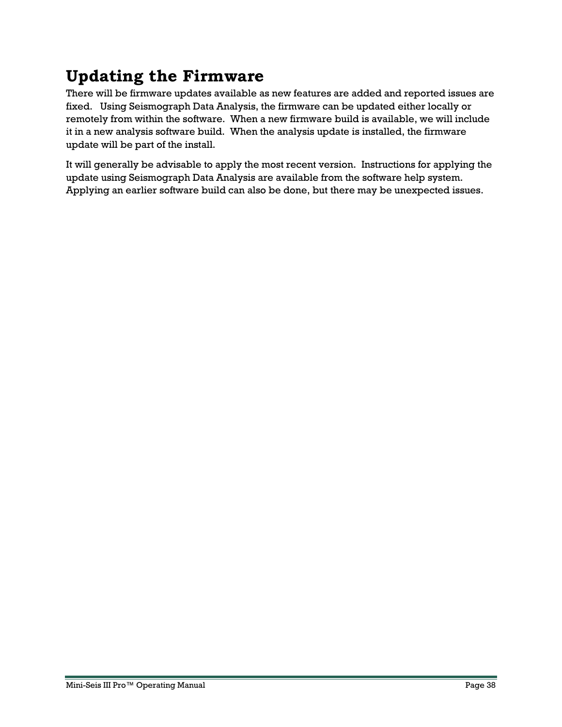# <span id="page-37-0"></span>**Updating the Firmware**

There will be firmware updates available as new features are added and reported issues are fixed. Using Seismograph Data Analysis, the firmware can be updated either locally or remotely from within the software. When a new firmware build is available, we will include it in a new analysis software build. When the analysis update is installed, the firmware update will be part of the install.

It will generally be advisable to apply the most recent version. Instructions for applying the update using Seismograph Data Analysis are available from the software help system. Applying an earlier software build can also be done, but there may be unexpected issues.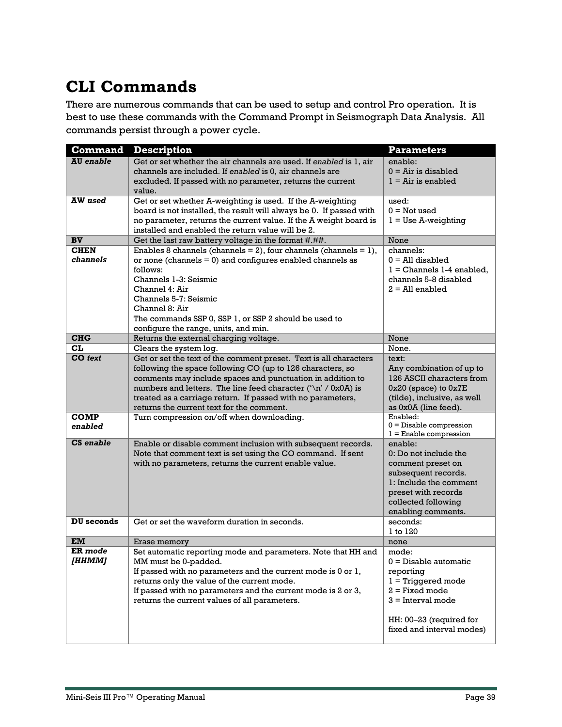# <span id="page-38-0"></span>**CLI Commands**

There are numerous commands that can be used to setup and control Pro operation. It is best to use these commands with the Command Prompt in Seismograph Data Analysis. All commands persist through a power cycle.

| <b>Command</b>          | <b>Description</b>                                                       | <b>Parameters</b>                                 |
|-------------------------|--------------------------------------------------------------------------|---------------------------------------------------|
| <b>AU</b> enable        | Get or set whether the air channels are used. If enabled is 1, air       | enable:                                           |
|                         | channels are included. If enabled is 0, air channels are                 | $0 = Air$ is disabled                             |
|                         | excluded. If passed with no parameter, returns the current               | $1 = Air$ is enabled                              |
|                         | value.                                                                   |                                                   |
| <b>AW</b> used          | Get or set whether A-weighting is used. If the A-weighting               | used:                                             |
|                         | board is not installed, the result will always be 0. If passed with      | $0 = Not used$                                    |
|                         | no parameter, returns the current value. If the A weight board is        | $1 = Use A-weighting$                             |
|                         | installed and enabled the return value will be 2.                        |                                                   |
| <b>BV</b>               | Get the last raw battery voltage in the format #.##.                     | None                                              |
| <b>CHEN</b><br>channels | Enables 8 channels (channels = 2), four channels (channels = 1),         | channels:                                         |
|                         | or none (channels $= 0$ ) and configures enabled channels as<br>follows: | $0 = All$ disabled<br>$1 =$ Channels 1-4 enabled. |
|                         | Channels 1-3: Seismic                                                    | channels 5-8 disabled                             |
|                         | Channel 4: Air                                                           | $2 =$ All enabled                                 |
|                         | Channels 5-7: Seismic                                                    |                                                   |
|                         | Channel 8: Air                                                           |                                                   |
|                         | The commands SSP 0, SSP 1, or SSP 2 should be used to                    |                                                   |
|                         | configure the range, units, and min.                                     |                                                   |
| <b>CHG</b>              | Returns the external charging voltage.                                   | None                                              |
| CL.                     | Clears the system log.                                                   | None.                                             |
| <b>CO</b> text          | Get or set the text of the comment preset. Text is all characters        | text:                                             |
|                         | following the space following CO (up to 126 characters, so               | Any combination of up to                          |
|                         | comments may include spaces and punctuation in addition to               | 126 ASCII characters from                         |
|                         | numbers and letters. The line feed character $('n'/0x0A)$ is             | $0x20$ (space) to $0x7E$                          |
|                         | treated as a carriage return. If passed with no parameters,              | (tilde), inclusive, as well                       |
|                         | returns the current text for the comment.                                | as 0x0A (line feed).                              |
| <b>COMP</b>             | Turn compression on/off when downloading.                                | Enabled:<br>$0 = Disable compression$             |
| enabled                 |                                                                          | $1 =$ Enable compression                          |
| CS enable               | Enable or disable comment inclusion with subsequent records.             | enable:                                           |
|                         | Note that comment text is set using the CO command. If sent              | 0: Do not include the                             |
|                         | with no parameters, returns the current enable value.                    | comment preset on                                 |
|                         |                                                                          | subsequent records.                               |
|                         |                                                                          | 1: Include the comment                            |
|                         |                                                                          | preset with records                               |
|                         |                                                                          | collected following                               |
|                         |                                                                          | enabling comments.                                |
| DU seconds              | Get or set the waveform duration in seconds.                             | seconds:<br>1 to 120                              |
| EM                      | Erase memory                                                             | none                                              |
| ER mode                 | Set automatic reporting mode and parameters. Note that HH and            | mode:                                             |
| [HHMM]                  | MM must be 0-padded.                                                     | $0 = Disable$ automatic                           |
|                         | If passed with no parameters and the current mode is 0 or 1,             | reporting                                         |
|                         | returns only the value of the current mode.                              | $1 =$ Triggered mode                              |
|                         | If passed with no parameters and the current mode is 2 or 3,             | $2 = Fixed mode$                                  |
|                         | returns the current values of all parameters.                            | $3$ = Interval mode                               |
|                         |                                                                          |                                                   |
|                         |                                                                          | HH: 00–23 (required for                           |
|                         |                                                                          | fixed and interval modes)                         |
|                         |                                                                          |                                                   |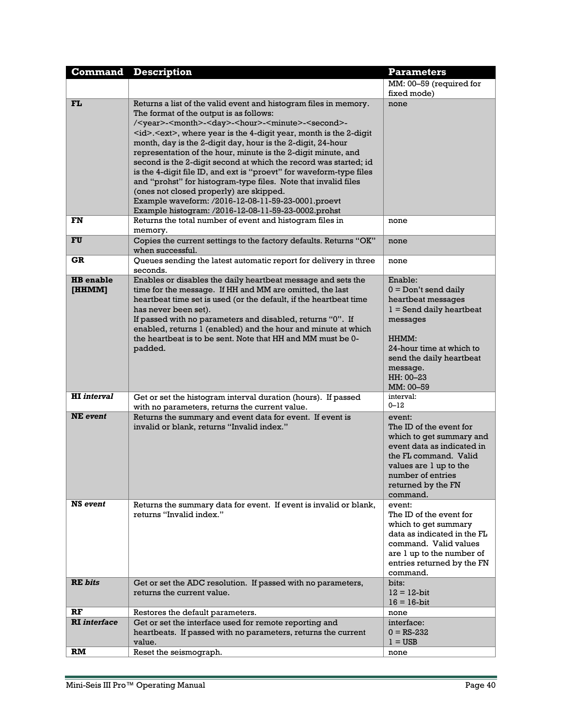| <b>Command</b>             | <b>Description</b>                                                                                                                                                                                                                                                                                                                                                                                                                                                                                                                                                                                                                                                                                                                                                                                         | <b>Parameters</b>                                                                                                                                                                                        |
|----------------------------|------------------------------------------------------------------------------------------------------------------------------------------------------------------------------------------------------------------------------------------------------------------------------------------------------------------------------------------------------------------------------------------------------------------------------------------------------------------------------------------------------------------------------------------------------------------------------------------------------------------------------------------------------------------------------------------------------------------------------------------------------------------------------------------------------------|----------------------------------------------------------------------------------------------------------------------------------------------------------------------------------------------------------|
|                            |                                                                                                                                                                                                                                                                                                                                                                                                                                                                                                                                                                                                                                                                                                                                                                                                            | MM: 00-59 (required for<br>fixed mode)                                                                                                                                                                   |
| FL                         | Returns a list of the valid event and histogram files in memory.<br>The format of the output is as follows:<br>/ <year>-<month>-<day>-<hour>-<minute>-<second>-<br/><id>.<ext>, where year is the 4-digit year, month is the 2-digit<br/>month, day is the 2-digit day, hour is the 2-digit, 24-hour<br/>representation of the hour, minute is the 2-digit minute, and<br/>second is the 2-digit second at which the record was started; id<br/>is the 4-digit file ID, and ext is "proevt" for waveform-type files<br/>and "prohst" for histogram-type files. Note that invalid files<br/>(ones not closed properly) are skipped.<br/>Example waveform: /2016-12-08-11-59-23-0001.proevt<br/>Example histogram: /2016-12-08-11-59-23-0002.prohst</ext></id></second></minute></hour></day></month></year> | none                                                                                                                                                                                                     |
| FN                         | Returns the total number of event and histogram files in<br>memory.                                                                                                                                                                                                                                                                                                                                                                                                                                                                                                                                                                                                                                                                                                                                        | none                                                                                                                                                                                                     |
| FU                         | Copies the current settings to the factory defaults. Returns "OK"<br>when successful.                                                                                                                                                                                                                                                                                                                                                                                                                                                                                                                                                                                                                                                                                                                      | none                                                                                                                                                                                                     |
| GR                         | Queues sending the latest automatic report for delivery in three<br>seconds.                                                                                                                                                                                                                                                                                                                                                                                                                                                                                                                                                                                                                                                                                                                               | none                                                                                                                                                                                                     |
| <b>HB</b> enable<br>[HHMM] | Enables or disables the daily heartbeat message and sets the<br>time for the message. If HH and MM are omitted, the last<br>heartbeat time set is used (or the default, if the heartbeat time<br>has never been set).<br>If passed with no parameters and disabled, returns "0". If<br>enabled, returns 1 (enabled) and the hour and minute at which<br>the heartbeat is to be sent. Note that HH and MM must be 0-<br>padded.                                                                                                                                                                                                                                                                                                                                                                             | Enable:<br>$0 = Don't send daily$<br>heartbeat messages<br>$1 =$ Send daily heartbeat<br>messages<br>HHMM:<br>24-hour time at which to<br>send the daily heartbeat<br>message.<br>HH: 00-23<br>MM: 00-59 |
| <b>HI</b> interval         | Get or set the histogram interval duration (hours). If passed<br>with no parameters, returns the current value.                                                                                                                                                                                                                                                                                                                                                                                                                                                                                                                                                                                                                                                                                            | interval:<br>$0 - 12$                                                                                                                                                                                    |
| <b>NE</b> event            | Returns the summary and event data for event. If event is<br>invalid or blank, returns "Invalid index."                                                                                                                                                                                                                                                                                                                                                                                                                                                                                                                                                                                                                                                                                                    | event:<br>The ID of the event for<br>which to get summary and<br>event data as indicated in<br>the FL command. Valid<br>values are 1 up to the<br>number of entries<br>returned by the FN<br>command.    |
| NS event                   | Returns the summary data for event. If event is invalid or blank,<br>returns "Invalid index."                                                                                                                                                                                                                                                                                                                                                                                                                                                                                                                                                                                                                                                                                                              | event:<br>The ID of the event for<br>which to get summary<br>data as indicated in the FL<br>command. Valid values<br>are 1 up to the number of<br>entries returned by the FN<br>command.                 |
| <b>RE</b> bits             | Get or set the ADC resolution. If passed with no parameters,<br>returns the current value.                                                                                                                                                                                                                                                                                                                                                                                                                                                                                                                                                                                                                                                                                                                 | bits:<br>$12 = 12$ -bit<br>$16 = 16$ -bit                                                                                                                                                                |
| RF                         | Restores the default parameters.                                                                                                                                                                                                                                                                                                                                                                                                                                                                                                                                                                                                                                                                                                                                                                           | none                                                                                                                                                                                                     |
| <b>RI</b> interface        | Get or set the interface used for remote reporting and<br>heartbeats. If passed with no parameters, returns the current<br>value.                                                                                                                                                                                                                                                                                                                                                                                                                                                                                                                                                                                                                                                                          | interface:<br>$0 = RS-232$<br>$1 = USB$                                                                                                                                                                  |
| RM                         | Reset the seismograph.                                                                                                                                                                                                                                                                                                                                                                                                                                                                                                                                                                                                                                                                                                                                                                                     | none                                                                                                                                                                                                     |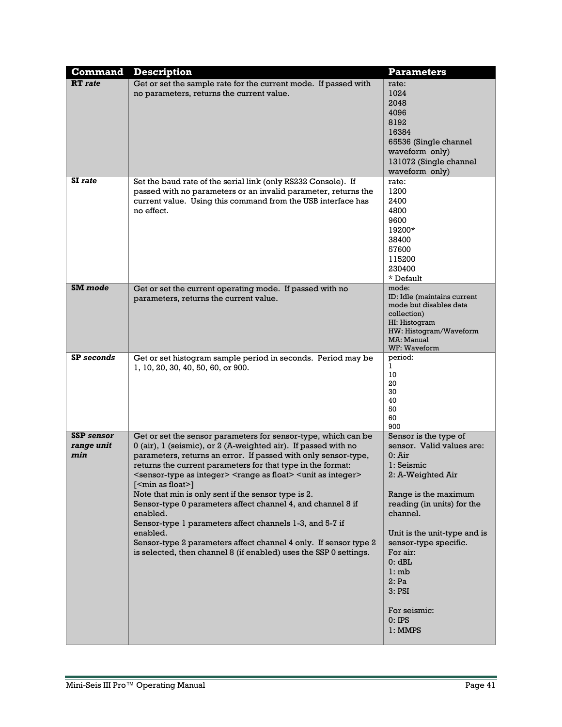| <b>Command</b>    | <b>Description</b>                                                                                         | <b>Parameters</b>                                  |
|-------------------|------------------------------------------------------------------------------------------------------------|----------------------------------------------------|
| <b>RT</b> rate    | Get or set the sample rate for the current mode. If passed with                                            | rate:                                              |
|                   | no parameters, returns the current value.                                                                  | 1024<br>2048                                       |
|                   |                                                                                                            | 4096                                               |
|                   |                                                                                                            | 8192                                               |
|                   |                                                                                                            | 16384                                              |
|                   |                                                                                                            | 65536 (Single channel                              |
|                   |                                                                                                            | waveform only)                                     |
|                   |                                                                                                            | 131072 (Single channel                             |
|                   |                                                                                                            | waveform only)                                     |
| SI rate           | Set the baud rate of the serial link (only RS232 Console). If                                              | rate:                                              |
|                   | passed with no parameters or an invalid parameter, returns the                                             | 1200                                               |
|                   | current value. Using this command from the USB interface has                                               | 2400                                               |
|                   | no effect.                                                                                                 | 4800                                               |
|                   |                                                                                                            | 9600                                               |
|                   |                                                                                                            | 19200*                                             |
|                   |                                                                                                            | 38400<br>57600                                     |
|                   |                                                                                                            | 115200                                             |
|                   |                                                                                                            | 230400                                             |
|                   |                                                                                                            | * Default                                          |
| SM mode           | Get or set the current operating mode. If passed with no                                                   | mode:                                              |
|                   | parameters, returns the current value.                                                                     | ID: Idle (maintains current                        |
|                   |                                                                                                            | mode but disables data                             |
|                   |                                                                                                            | collection)<br>HI: Histogram                       |
|                   |                                                                                                            | HW: Histogram/Waveform                             |
|                   |                                                                                                            | MA: Manual                                         |
|                   |                                                                                                            | WF: Waveform                                       |
| <b>SP</b> seconds | Get or set histogram sample period in seconds. Period may be                                               | period:<br>1                                       |
|                   | 1, 10, 20, 30, 40, 50, 60, or 900.                                                                         | 10                                                 |
|                   |                                                                                                            | 20                                                 |
|                   |                                                                                                            | 30                                                 |
|                   |                                                                                                            | 40<br>50                                           |
|                   |                                                                                                            | 60                                                 |
|                   |                                                                                                            | 900                                                |
| <b>SSP</b> sensor | Get or set the sensor parameters for sensor-type, which can be                                             | Sensor is the type of                              |
| range unit        | 0 (air), 1 (seismic), or 2 (A-weighted air). If passed with no                                             | sensor. Valid values are:                          |
| min               | parameters, returns an error. If passed with only sensor-type,                                             | 0: Air                                             |
|                   | returns the current parameters for that type in the format:                                                | 1: Seismic                                         |
|                   | <sensor-type as="" integer=""> <range as="" float=""> <unit as="" integer=""></unit></range></sensor-type> | 2: A-Weighted Air                                  |
|                   | $[<$ min as float $>$ ]<br>Note that min is only sent if the sensor type is 2.                             |                                                    |
|                   | Sensor-type 0 parameters affect channel 4, and channel 8 if                                                | Range is the maximum<br>reading (in units) for the |
|                   | enabled.                                                                                                   | channel.                                           |
|                   | Sensor-type 1 parameters affect channels 1-3, and 5-7 if                                                   |                                                    |
|                   | enabled.                                                                                                   | Unit is the unit-type and is                       |
|                   | Sensor-type 2 parameters affect channel 4 only. If sensor type 2                                           | sensor-type specific.                              |
|                   | is selected, then channel 8 (if enabled) uses the SSP 0 settings.                                          | For air:                                           |
|                   |                                                                                                            | 0: dBL                                             |
|                   |                                                                                                            | l:mb                                               |
|                   |                                                                                                            | 2:Pa                                               |
|                   |                                                                                                            | 3: PSI                                             |
|                   |                                                                                                            | For seismic:                                       |
|                   |                                                                                                            | $0:$ IPS                                           |
|                   |                                                                                                            | 1: MMPS                                            |
|                   |                                                                                                            |                                                    |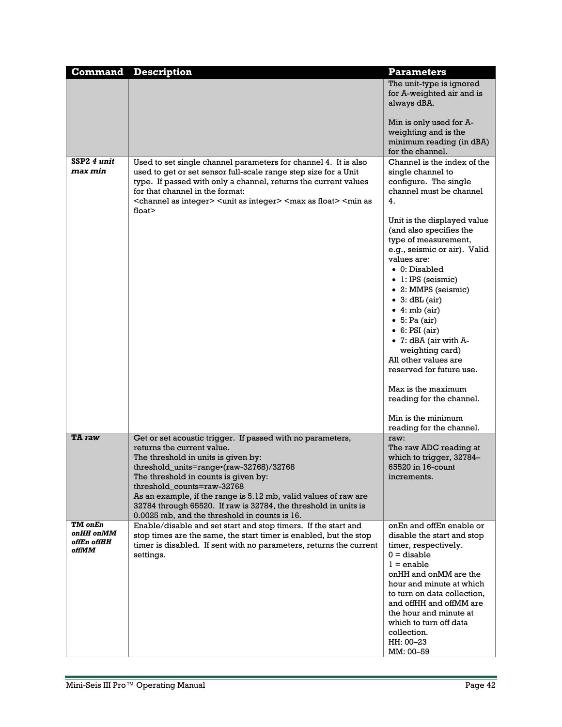| <b>Command</b>                               | <b>Description</b>                                                                                                                                                                                                                                                                                                                                                                    | <b>Parameters</b>                                                                                                                                                                                                                                                                                                                                                                                                                                                                         |
|----------------------------------------------|---------------------------------------------------------------------------------------------------------------------------------------------------------------------------------------------------------------------------------------------------------------------------------------------------------------------------------------------------------------------------------------|-------------------------------------------------------------------------------------------------------------------------------------------------------------------------------------------------------------------------------------------------------------------------------------------------------------------------------------------------------------------------------------------------------------------------------------------------------------------------------------------|
|                                              |                                                                                                                                                                                                                                                                                                                                                                                       | The unit-type is ignored<br>for A-weighted air and is<br>always dBA.                                                                                                                                                                                                                                                                                                                                                                                                                      |
|                                              |                                                                                                                                                                                                                                                                                                                                                                                       | Min is only used for A-<br>weighting and is the<br>minimum reading (in dBA)<br>for the channel.                                                                                                                                                                                                                                                                                                                                                                                           |
| SSP2 4 unit<br>max min                       | Used to set single channel parameters for channel 4. It is also<br>used to get or set sensor full-scale range step size for a Unit<br>type. If passed with only a channel, returns the current values<br>for that channel in the format:<br><channel as="" integer=""> <unit as="" integer=""> <max as="" float=""> <min as<br="">float<math>&gt;</math></min></max></unit></channel> | Channel is the index of the<br>single channel to<br>configure. The single<br>channel must be channel<br>4.                                                                                                                                                                                                                                                                                                                                                                                |
|                                              |                                                                                                                                                                                                                                                                                                                                                                                       | Unit is the displayed value<br>(and also specifies the<br>type of measurement,<br>e.g., seismic or air). Valid<br>values are:<br>$\bullet$ 0: Disabled<br>· 1: IPS (seismic)<br>• 2: MMPS (seismic)<br>$\bullet$ 3: dBL (air)<br>$\bullet$ 4: mb (air)<br>$\bullet$ 5: Pa (air)<br>$\bullet$ 6: PSI (air)<br>$\bullet$ 7: dBA (air with A-<br>weighting card)<br>All other values are<br>reserved for future use.<br>Max is the maximum<br>reading for the channel.<br>Min is the minimum |
| TA raw                                       | Get or set acoustic trigger. If passed with no parameters,<br>returns the current value.                                                                                                                                                                                                                                                                                              | reading for the channel.<br>raw:<br>The raw ADC reading at                                                                                                                                                                                                                                                                                                                                                                                                                                |
|                                              | The threshold in units is given by:                                                                                                                                                                                                                                                                                                                                                   | which to trigger, 32784-                                                                                                                                                                                                                                                                                                                                                                                                                                                                  |
|                                              | threshold_units=range•(raw-32768)/32768                                                                                                                                                                                                                                                                                                                                               | 65520 in 16-count                                                                                                                                                                                                                                                                                                                                                                                                                                                                         |
|                                              | The threshold in counts is given by:<br>threshold counts=raw-32768                                                                                                                                                                                                                                                                                                                    | increments.                                                                                                                                                                                                                                                                                                                                                                                                                                                                               |
|                                              | As an example, if the range is 5.12 mb, valid values of raw are<br>32784 through 65520. If raw is 32784, the threshold in units is<br>0.0025 mb, and the threshold in counts is 16.                                                                                                                                                                                                   |                                                                                                                                                                                                                                                                                                                                                                                                                                                                                           |
| TM onEn<br>onHH onMM<br>offEn offHH<br>offMM | Enable/disable and set start and stop timers. If the start and<br>stop times are the same, the start timer is enabled, but the stop<br>timer is disabled. If sent with no parameters, returns the current<br>settings.                                                                                                                                                                | onEn and offEn enable or<br>disable the start and stop<br>timer, respectively.<br>$0 =$ disable<br>$l =$ enable<br>onHH and onMM are the<br>hour and minute at which<br>to turn on data collection,<br>and offHH and offMM are<br>the hour and minute at<br>which to turn off data                                                                                                                                                                                                        |
|                                              |                                                                                                                                                                                                                                                                                                                                                                                       | collection.<br>HH: 00-23<br>MM: 00-59                                                                                                                                                                                                                                                                                                                                                                                                                                                     |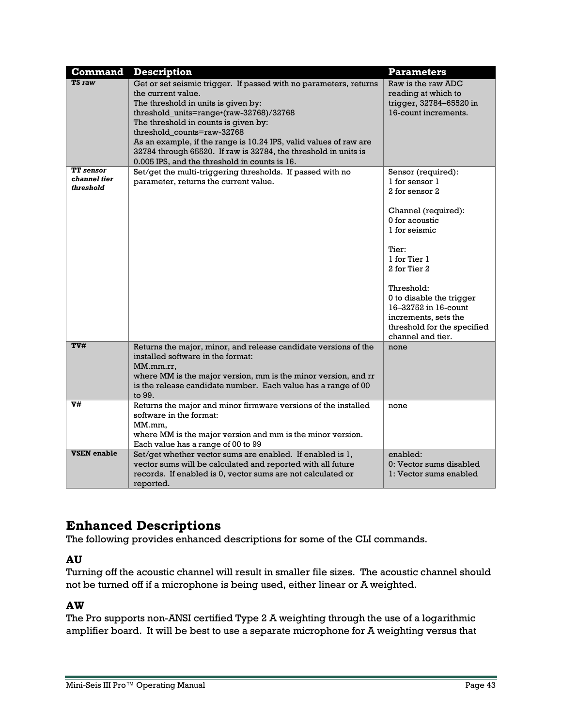| Command                                                     | <b>Description</b>                                                                                                                                                                                                                                                                                                                                                                                                                       | <b>Parameters</b>                                                                                                                                                                                                                                                                                       |
|-------------------------------------------------------------|------------------------------------------------------------------------------------------------------------------------------------------------------------------------------------------------------------------------------------------------------------------------------------------------------------------------------------------------------------------------------------------------------------------------------------------|---------------------------------------------------------------------------------------------------------------------------------------------------------------------------------------------------------------------------------------------------------------------------------------------------------|
| TS raw                                                      | Get or set seismic trigger. If passed with no parameters, returns<br>the current value.<br>The threshold in units is given by:<br>threshold_units=range•(raw-32768)/32768<br>The threshold in counts is given by:<br>threshold counts=raw-32768<br>As an example, if the range is 10.24 IPS, valid values of raw are<br>32784 through 65520. If raw is 32784, the threshold in units is<br>0.005 IPS, and the threshold in counts is 16. | Raw is the raw ADC<br>reading at which to<br>trigger, 32784-65520 in<br>16-count increments.                                                                                                                                                                                                            |
| $\overline{\mathbf{T}}$ sensor<br>channel tier<br>threshold | Set/get the multi-triggering thresholds. If passed with no<br>parameter, returns the current value.                                                                                                                                                                                                                                                                                                                                      | Sensor (required):<br>1 for sensor 1<br>2 for sensor 2<br>Channel (required):<br>0 for acoustic<br>1 for seismic<br>Tier:<br>1 for Tier 1<br>2 for Tier 2<br>Threshold:<br>0 to disable the trigger<br>16-32752 in 16-count<br>increments, sets the<br>threshold for the specified<br>channel and tier. |
| TV#                                                         | Returns the major, minor, and release candidate versions of the<br>installed software in the format:<br>MM.mm.rr.<br>where MM is the major version, mm is the minor version, and rr<br>is the release candidate number. Each value has a range of 00<br>to 99.                                                                                                                                                                           | none                                                                                                                                                                                                                                                                                                    |
| V#                                                          | Returns the major and minor firmware versions of the installed<br>software in the format:<br>MM.mm,<br>where MM is the major version and mm is the minor version.<br>Each value has a range of 00 to 99                                                                                                                                                                                                                                  | none                                                                                                                                                                                                                                                                                                    |
| <b>VSEN</b> enable                                          | Set/get whether vector sums are enabled. If enabled is 1,<br>vector sums will be calculated and reported with all future<br>records. If enabled is 0, vector sums are not calculated or<br>reported.                                                                                                                                                                                                                                     | enabled:<br>0: Vector sums disabled<br>1: Vector sums enabled                                                                                                                                                                                                                                           |

# <span id="page-42-0"></span>**Enhanced Descriptions**

The following provides enhanced descriptions for some of the CLI commands.

#### <span id="page-42-1"></span>**AU**

Turning off the acoustic channel will result in smaller file sizes. The acoustic channel should not be turned off if a microphone is being used, either linear or A weighted.

### <span id="page-42-2"></span>**AW**

The Pro supports non-ANSI certified Type 2 A weighting through the use of a logarithmic amplifier board. It will be best to use a separate microphone for A weighting versus that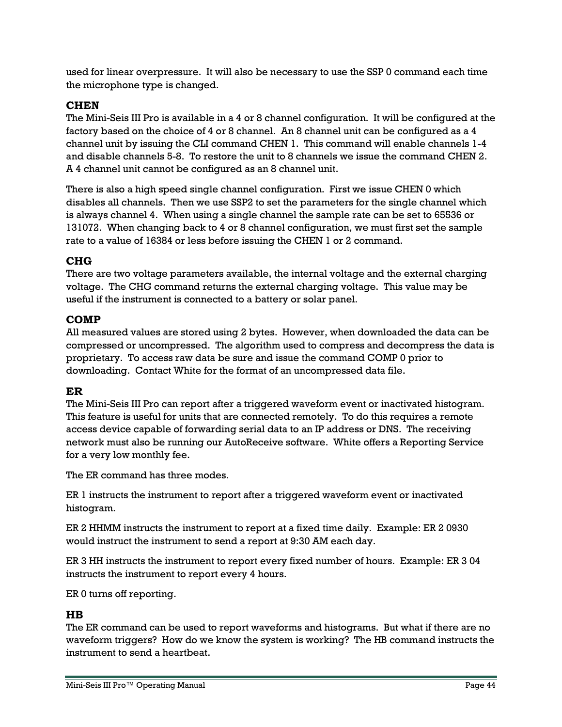used for linear overpressure. It will also be necessary to use the SSP 0 command each time the microphone type is changed.

#### <span id="page-43-0"></span>**CHEN**

The Mini-Seis III Pro is available in a 4 or 8 channel configuration. It will be configured at the factory based on the choice of 4 or 8 channel. An 8 channel unit can be configured as a 4 channel unit by issuing the CLI command CHEN 1. This command will enable channels 1-4 and disable channels 5-8. To restore the unit to 8 channels we issue the command CHEN 2. A 4 channel unit cannot be configured as an 8 channel unit.

There is also a high speed single channel configuration. First we issue CHEN 0 which disables all channels. Then we use SSP2 to set the parameters for the single channel which is always channel 4. When using a single channel the sample rate can be set to 65536 or 131072. When changing back to 4 or 8 channel configuration, we must first set the sample rate to a value of 16384 or less before issuing the CHEN 1 or 2 command.

#### <span id="page-43-1"></span>**CHG**

There are two voltage parameters available, the internal voltage and the external charging voltage. The CHG command returns the external charging voltage. This value may be useful if the instrument is connected to a battery or solar panel.

#### <span id="page-43-2"></span>**COMP**

All measured values are stored using 2 bytes. However, when downloaded the data can be compressed or uncompressed. The algorithm used to compress and decompress the data is proprietary. To access raw data be sure and issue the command COMP 0 prior to downloading. Contact White for the format of an uncompressed data file.

#### <span id="page-43-3"></span>**ER**

The Mini-Seis III Pro can report after a triggered waveform event or inactivated histogram. This feature is useful for units that are connected remotely. To do this requires a remote access device capable of forwarding serial data to an IP address or DNS. The receiving network must also be running our AutoReceive software. White offers a Reporting Service for a very low monthly fee.

The ER command has three modes.

ER 1 instructs the instrument to report after a triggered waveform event or inactivated histogram.

ER 2 HHMM instructs the instrument to report at a fixed time daily. Example: ER 2 0930 would instruct the instrument to send a report at 9:30 AM each day.

ER 3 HH instructs the instrument to report every fixed number of hours. Example: ER 3 04 instructs the instrument to report every 4 hours.

ER 0 turns off reporting.

#### <span id="page-43-4"></span>**HB**

The ER command can be used to report waveforms and histograms. But what if there are no waveform triggers? How do we know the system is working? The HB command instructs the instrument to send a heartbeat.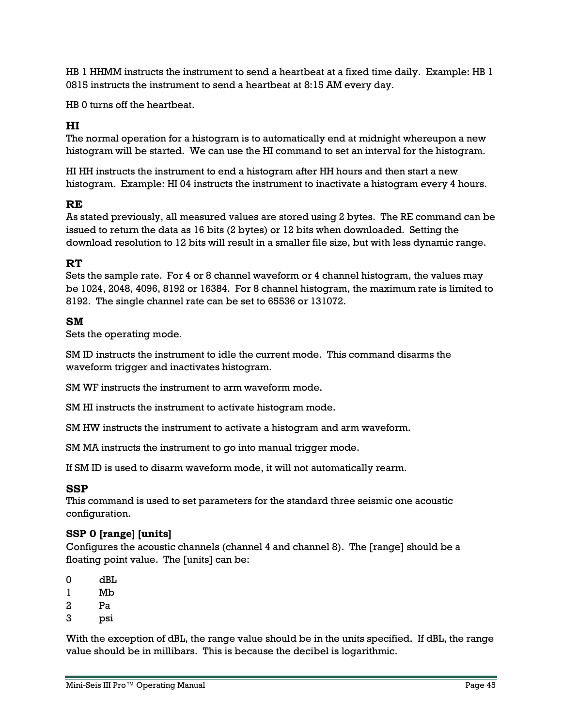HB 1 HHMM instructs the instrument to send a heartbeat at a fixed time daily. Example: HB 1 0815 instructs the instrument to send a heartbeat at 8:15 AM every day.

HB 0 turns off the heartbeat.

#### <span id="page-44-0"></span>**HI**

The normal operation for a histogram is to automatically end at midnight whereupon a new histogram will be started. We can use the HI command to set an interval for the histogram.

HI HH instructs the instrument to end a histogram after HH hours and then start a new histogram. Example: HI 04 instructs the instrument to inactivate a histogram every 4 hours.

#### <span id="page-44-1"></span>**RE**

As stated previously, all measured values are stored using 2 bytes. The RE command can be issued to return the data as 16 bits (2 bytes) or 12 bits when downloaded. Setting the download resolution to 12 bits will result in a smaller file size, but with less dynamic range.

#### <span id="page-44-2"></span>**RT**

Sets the sample rate. For 4 or 8 channel waveform or 4 channel histogram, the values may be 1024, 2048, 4096, 8192 or 16384. For 8 channel histogram, the maximum rate is limited to 8192. The single channel rate can be set to 65536 or 131072.

#### <span id="page-44-3"></span>**SM**

Sets the operating mode.

SM ID instructs the instrument to idle the current mode. This command disarms the waveform trigger and inactivates histogram.

SM WF instructs the instrument to arm waveform mode.

SM HI instructs the instrument to activate histogram mode.

SM HW instructs the instrument to activate a histogram and arm waveform.

SM MA instructs the instrument to go into manual trigger mode.

If SM ID is used to disarm waveform mode, it will not automatically rearm.

#### <span id="page-44-4"></span>**SSP**

This command is used to set parameters for the standard three seismic one acoustic configuration.

#### **SSP 0 [range] [units]**

Configures the acoustic channels (channel 4 and channel 8). The [range] should be a floating point value. The [units] can be:

- $0$  dBL
- 1 Mb
- $2$  Pa
- 3 psi

With the exception of dBL, the range value should be in the units specified. If dBL, the range value should be in millibars. This is because the decibel is logarithmic.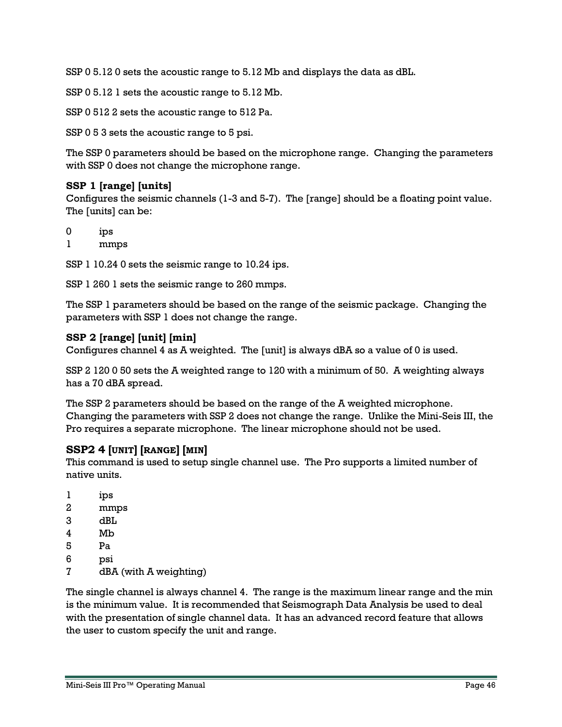SSP 0 5.12 0 sets the acoustic range to 5.12 Mb and displays the data as dBL.

SSP 0 5.12 1 sets the acoustic range to 5.12 Mb.

SSP 0 512 2 sets the acoustic range to 512 Pa.

SSP 0 5 3 sets the acoustic range to 5 psi.

The SSP 0 parameters should be based on the microphone range. Changing the parameters with SSP 0 does not change the microphone range.

#### **SSP 1 [range] [units]**

Configures the seismic channels (1-3 and 5-7). The [range] should be a floating point value. The [units] can be:

0 ips

1 mmps

SSP 1 10.24 0 sets the seismic range to 10.24 ips.

SSP 1 260 1 sets the seismic range to 260 mmps.

The SSP 1 parameters should be based on the range of the seismic package. Changing the parameters with SSP 1 does not change the range.

#### **SSP 2 [range] [unit] [min]**

Configures channel 4 as A weighted. The [unit] is always dBA so a value of 0 is used.

SSP 2 120 0 50 sets the A weighted range to 120 with a minimum of 50. A weighting always has a 70 dBA spread.

The SSP 2 parameters should be based on the range of the A weighted microphone. Changing the parameters with SSP 2 does not change the range. Unlike the Mini-Seis III, the Pro requires a separate microphone. The linear microphone should not be used.

#### <span id="page-45-0"></span>**SSP2 4 [UNIT] [RANGE] [MIN]**

This command is used to setup single channel use. The Pro supports a limited number of native units.

- 1 ips
- 2 mmps
- 3 dBL
- 4 Mb
- 5 Pa
- 6 psi
- 7 dBA (with A weighting)

The single channel is always channel 4. The range is the maximum linear range and the min is the minimum value. It is recommended that Seismograph Data Analysis be used to deal with the presentation of single channel data. It has an advanced record feature that allows the user to custom specify the unit and range.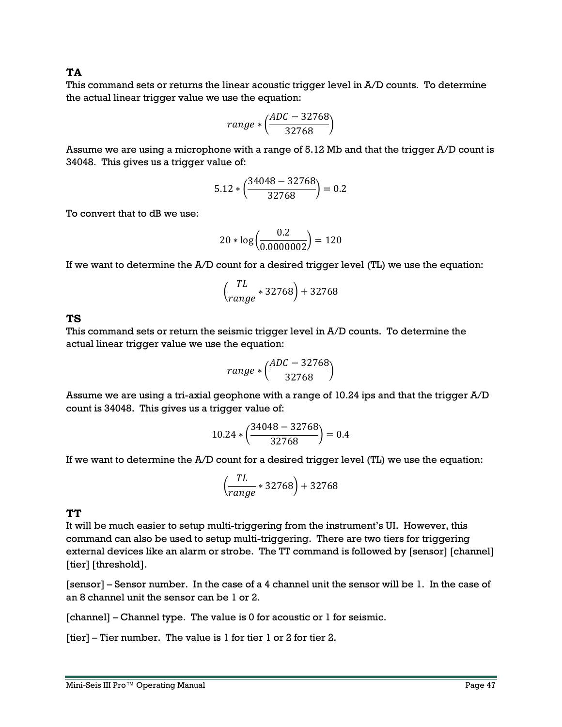#### <span id="page-46-0"></span>**TA**

This command sets or returns the linear acoustic trigger level in A/D counts. To determine the actual linear trigger value we use the equation:

$$
range * (\frac{ADC - 32768}{32768})
$$

Assume we are using a microphone with a range of 5.12 Mb and that the trigger A/D count is 34048. This gives us a trigger value of:

$$
5.12 * \left(\frac{34048 - 32768}{32768}\right) = 0.2
$$

To convert that to dB we use:

$$
20 * \log \left( \frac{0.2}{0.0000002} \right) = 120
$$

If we want to determine the A/D count for a desired trigger level (TL) we use the equation:

$$
\left(\frac{TL}{range} * 32768\right) + 32768
$$

#### <span id="page-46-1"></span>**TS**

This command sets or return the seismic trigger level in A/D counts. To determine the actual linear trigger value we use the equation:

$$
range * (\frac{ADC - 32768}{32768})
$$

Assume we are using a tri-axial geophone with a range of 10.24 ips and that the trigger A/D count is 34048. This gives us a trigger value of:

$$
10.24 * \left(\frac{34048 - 32768}{32768}\right) = 0.4
$$

If we want to determine the A/D count for a desired trigger level (TL) we use the equation:

$$
\left(\frac{TL}{range} * 32768\right) + 32768
$$

#### **TT**

It will be much easier to setup multi-triggering from the instrument's UI. However, this command can also be used to setup multi-triggering. There are two tiers for triggering external devices like an alarm or strobe. The TT command is followed by [sensor] [channel] [tier] [threshold].

[sensor] – Sensor number. In the case of a 4 channel unit the sensor will be 1. In the case of an 8 channel unit the sensor can be 1 or 2.

[channel] – Channel type. The value is 0 for acoustic or 1 for seismic.

[tier] – Tier number. The value is 1 for tier 1 or 2 for tier 2.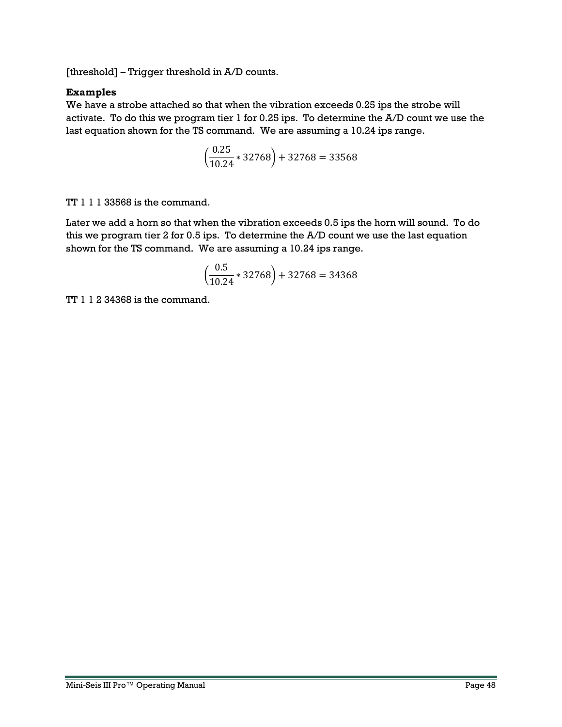[threshold] – Trigger threshold in A/D counts.

#### **Examples**

We have a strobe attached so that when the vibration exceeds 0.25 ips the strobe will activate. To do this we program tier 1 for 0.25 ips. To determine the A/D count we use the last equation shown for the TS command. We are assuming a 10.24 ips range.

$$
\left(\frac{0.25}{10.24} * 32768\right) + 32768 = 33568
$$

TT 1 1 1 33568 is the command.

Later we add a horn so that when the vibration exceeds 0.5 ips the horn will sound. To do this we program tier 2 for 0.5 ips. To determine the A/D count we use the last equation shown for the TS command. We are assuming a 10.24 ips range.

$$
\left(\frac{0.5}{10.24} * 32768\right) + 32768 = 34368
$$

TT 1 1 2 34368 is the command.